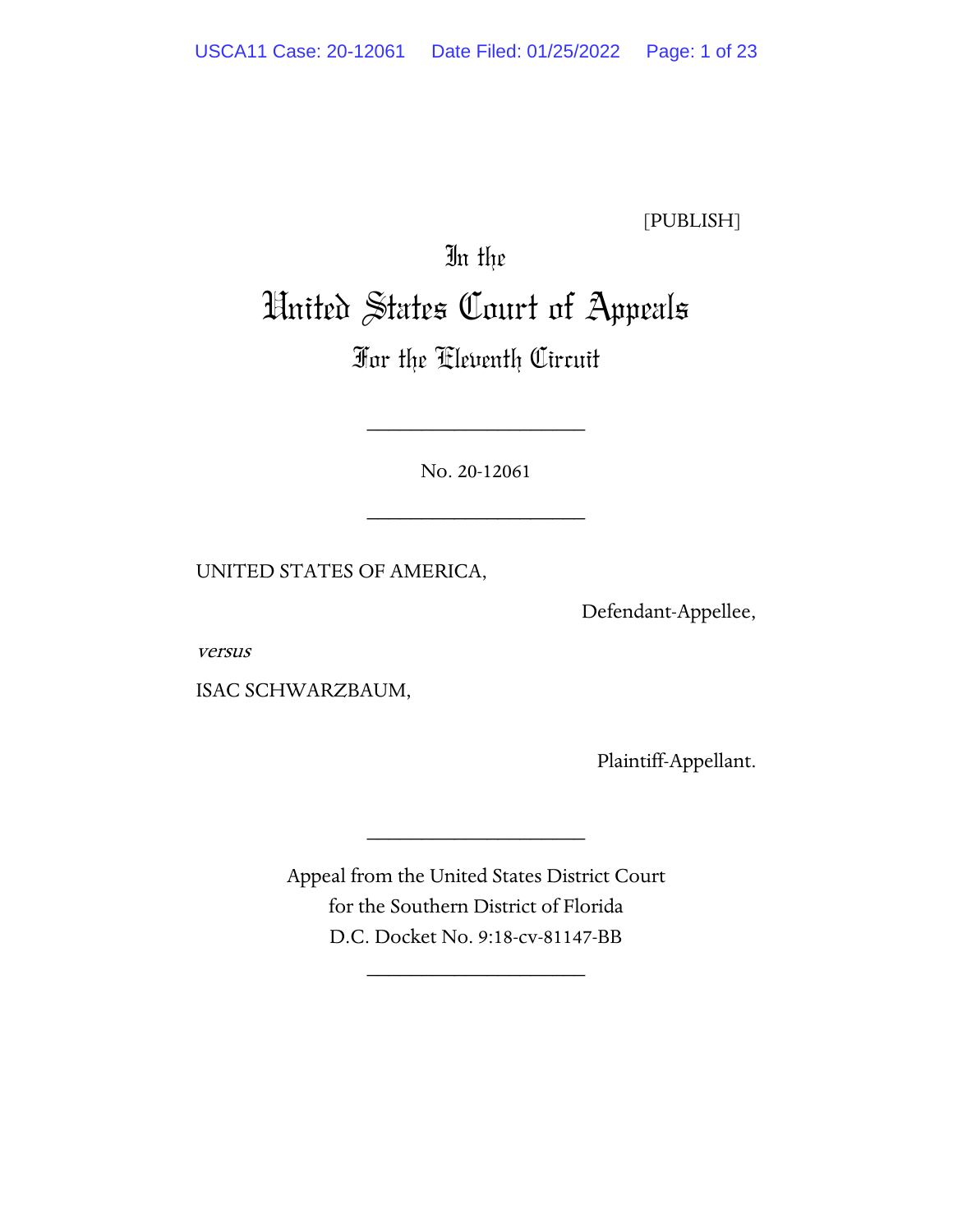[PUBLISH]

# In the United States Court of Appeals

# For the Eleventh Circuit

No. 20-12061

\_\_\_\_\_\_\_\_\_\_\_\_\_\_\_\_\_\_\_\_

\_\_\_\_\_\_\_\_\_\_\_\_\_\_\_\_\_\_\_\_

UNITED STATES OF AMERICA,

Defendant-Appellee,

versus

ISAC SCHWARZBAUM,

Plaintiff-Appellant.

Appeal from the United States District Court for the Southern District of Florida D.C. Docket No. 9:18-cv-81147-BB

\_\_\_\_\_\_\_\_\_\_\_\_\_\_\_\_\_\_\_\_

\_\_\_\_\_\_\_\_\_\_\_\_\_\_\_\_\_\_\_\_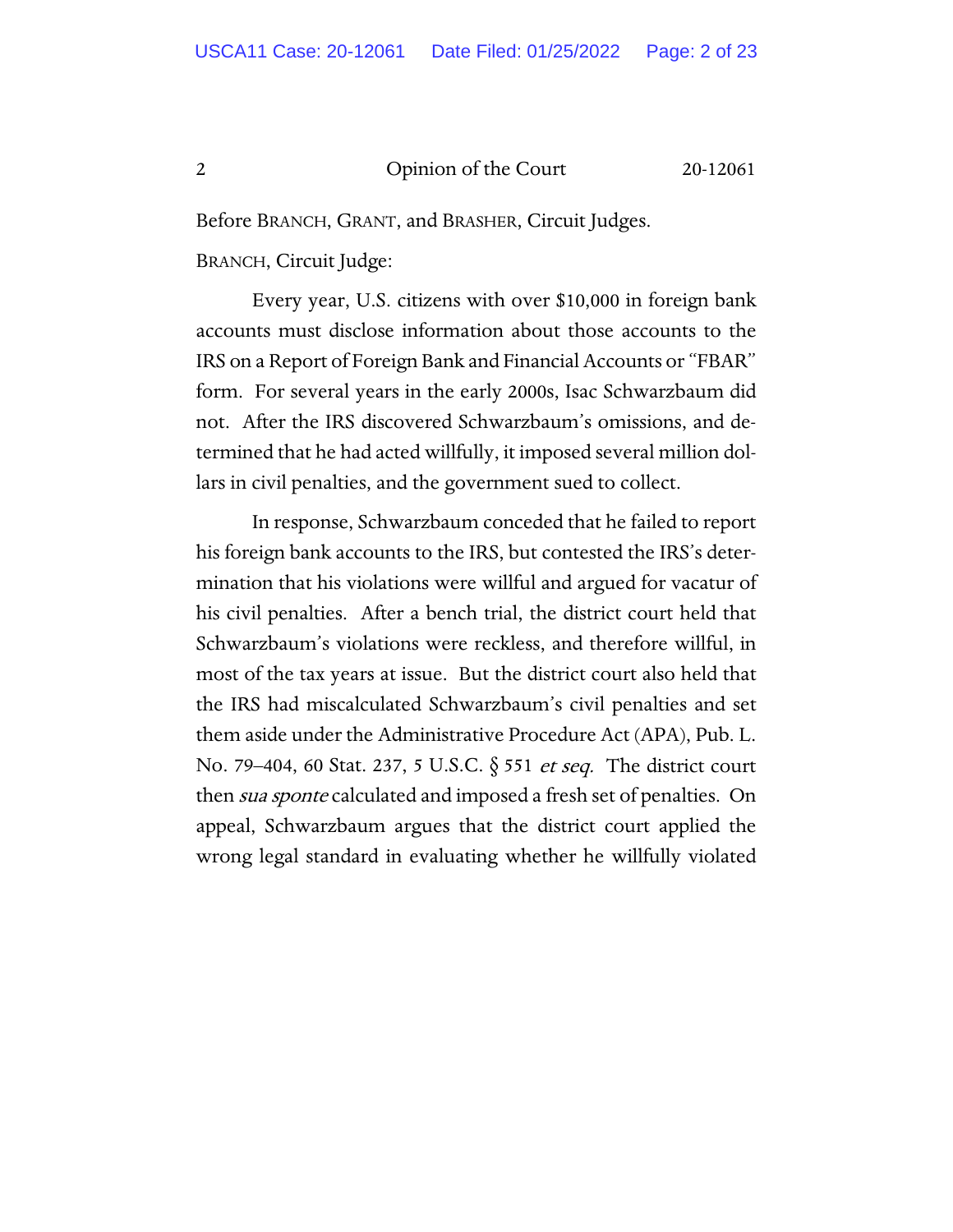Before BRANCH, GRANT, and BRASHER, Circuit Judges.

BRANCH, Circuit Judge:

Every year, U.S. citizens with over \$10,000 in foreign bank accounts must disclose information about those accounts to the IRS on a Report of Foreign Bank and Financial Accounts or "FBAR" form. For several years in the early 2000s, Isac Schwarzbaum did not. After the IRS discovered Schwarzbaum's omissions, and determined that he had acted willfully, it imposed several million dollars in civil penalties, and the government sued to collect.

In response, Schwarzbaum conceded that he failed to report his foreign bank accounts to the IRS, but contested the IRS's determination that his violations were willful and argued for vacatur of his civil penalties. After a bench trial, the district court held that Schwarzbaum's violations were reckless, and therefore willful, in most of the tax years at issue. But the district court also held that the IRS had miscalculated Schwarzbaum's civil penalties and set them aside under the Administrative Procedure Act (APA), Pub. L. No. 79-404, 60 Stat. 237, 5 U.S.C. § 551 et seq. The district court then *sua sponte* calculated and imposed a fresh set of penalties. On appeal, Schwarzbaum argues that the district court applied the wrong legal standard in evaluating whether he willfully violated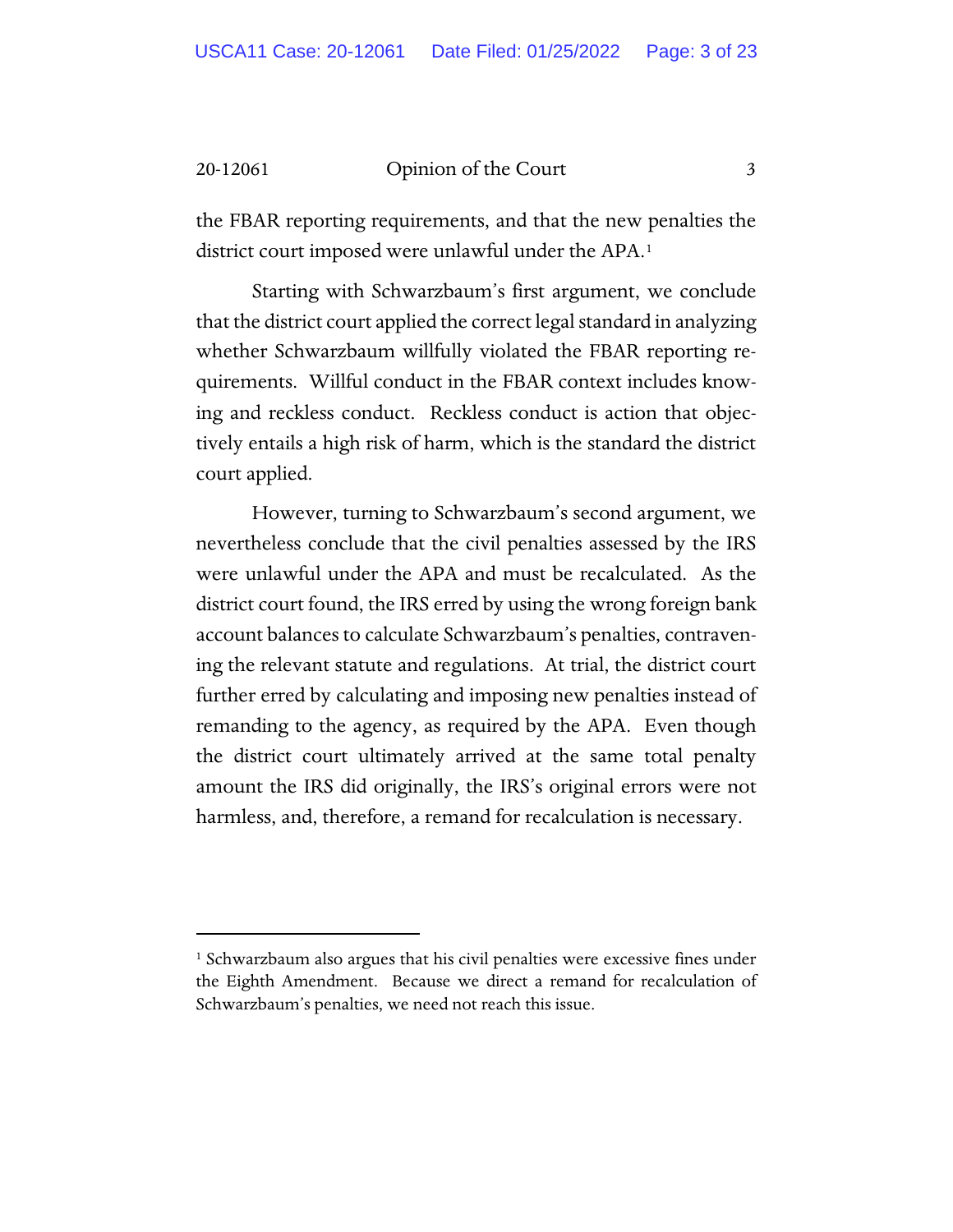the FBAR reporting requirements, and that the new penalties the district court imposed were unlawful under the APA.<sup>[1](#page-2-0)</sup>

Starting with Schwarzbaum's first argument, we conclude that the district court applied the correct legal standard in analyzing whether Schwarzbaum willfully violated the FBAR reporting requirements. Willful conduct in the FBAR context includes knowing and reckless conduct. Reckless conduct is action that objectively entails a high risk of harm, which is the standard the district court applied.

However, turning to Schwarzbaum's second argument, we nevertheless conclude that the civil penalties assessed by the IRS were unlawful under the APA and must be recalculated. As the district court found, the IRS erred by using the wrong foreign bank account balances to calculate Schwarzbaum's penalties, contravening the relevant statute and regulations. At trial, the district court further erred by calculating and imposing new penalties instead of remanding to the agency, as required by the APA. Even though the district court ultimately arrived at the same total penalty amount the IRS did originally, the IRS's original errors were not harmless, and, therefore, a remand for recalculation is necessary.

<span id="page-2-0"></span><sup>&</sup>lt;sup>1</sup> Schwarzbaum also argues that his civil penalties were excessive fines under the Eighth Amendment. Because we direct a remand for recalculation of Schwarzbaum's penalties, we need not reach this issue.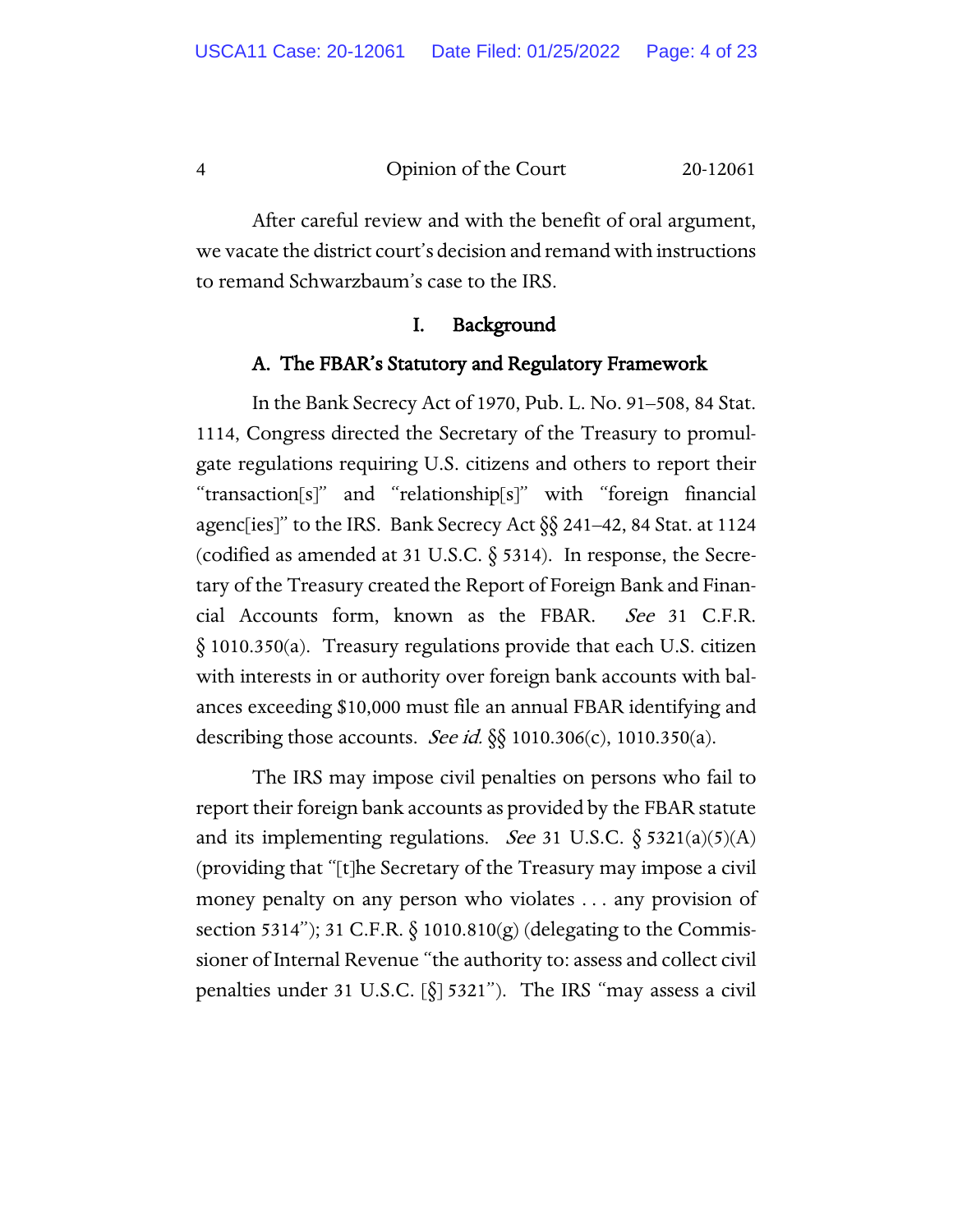After careful review and with the benefit of oral argument, we vacate the district court's decision and remand with instructions to remand Schwarzbaum's case to the IRS.

#### I. Background

#### A. The FBAR's Statutory and Regulatory Framework

In the Bank Secrecy Act of 1970, Pub. L. No. 91–508, 84 Stat. 1114, Congress directed the Secretary of the Treasury to promulgate regulations requiring U.S. citizens and others to report their "transaction[s]" and "relationship[s]" with "foreign financial agenc[ies]" to the IRS. Bank Secrecy Act §§ 241–42, 84 Stat. at 1124 (codified as amended at 31 U.S.C.  $\S$  5314). In response, the Secretary of the Treasury created the Report of Foreign Bank and Financial Accounts form, known as the FBAR. See 31 C.F.R. § 1010.350(a). Treasury regulations provide that each U.S. citizen with interests in or authority over foreign bank accounts with balances exceeding \$10,000 must file an annual FBAR identifying and describing those accounts. See id.  $\S$  1010.306(c), 1010.350(a).

The IRS may impose civil penalties on persons who fail to report their foreign bank accounts as provided by the FBAR statute and its implementing regulations. *See* 31 U.S.C.  $\S$  5321(a)(5)(A) (providing that "[t]he Secretary of the Treasury may impose a civil money penalty on any person who violates . . . any provision of section 5314"); 31 C.F.R.  $\S$  1010.810(g) (delegating to the Commissioner of Internal Revenue "the authority to: assess and collect civil penalties under 31 U.S.C. [§] 5321"). The IRS "may assess a civil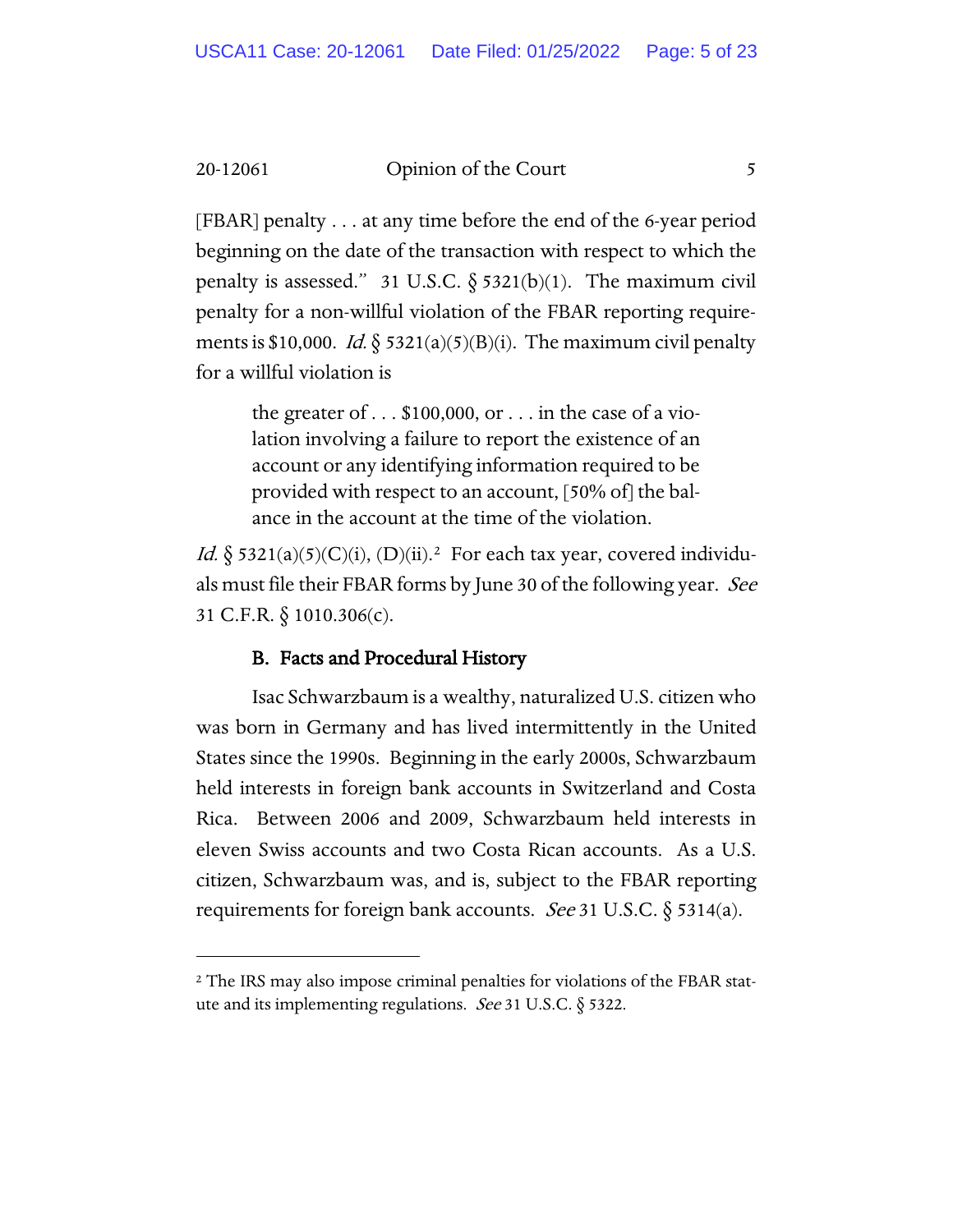[FBAR] penalty . . . at any time before the end of the 6-year period beginning on the date of the transaction with respect to which the penalty is assessed." 31 U.S.C.  $\S$  5321(b)(1). The maximum civil penalty for a non-willful violation of the FBAR reporting requirements is \$10,000. Id.  $\frac{5}{3}$  5321(a)(5)(B)(i). The maximum civil penalty for a willful violation is

> the greater of  $\dots$  \$100,000, or  $\dots$  in the case of a violation involving a failure to report the existence of an account or any identifying information required to be provided with respect to an account, [50% of] the balance in the account at the time of the violation.

*Id.*  $\S$  53[2](#page-4-0)1(a)(5)(C)(i), (D)(ii).<sup>2</sup> For each tax year, covered individuals must file their FBAR forms by June 30 of the following year. See 31 C.F.R. § 1010.306(c).

### B. Facts and Procedural History

Isac Schwarzbaum is a wealthy, naturalized U.S. citizen who was born in Germany and has lived intermittently in the United States since the 1990s. Beginning in the early 2000s, Schwarzbaum held interests in foreign bank accounts in Switzerland and Costa Rica. Between 2006 and 2009, Schwarzbaum held interests in eleven Swiss accounts and two Costa Rican accounts. As a U.S. citizen, Schwarzbaum was, and is, subject to the FBAR reporting requirements for foreign bank accounts. *See* 31 U.S.C.  $\S$  5314(a).

<span id="page-4-0"></span><sup>&</sup>lt;sup>2</sup> The IRS may also impose criminal penalties for violations of the FBAR statute and its implementing regulations. *See* 31 U.S.C.  $\S$  5322.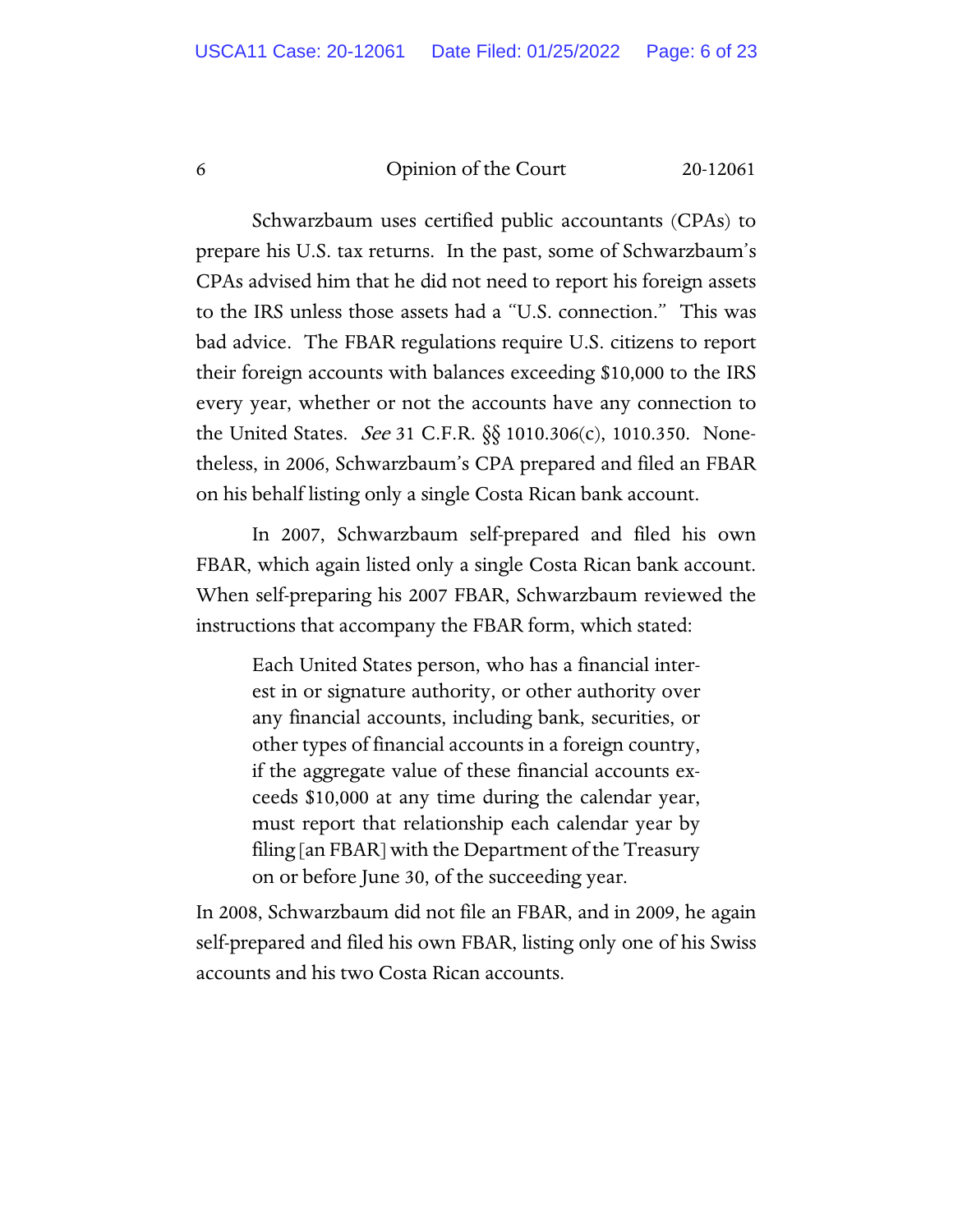Schwarzbaum uses certified public accountants (CPAs) to prepare his U.S. tax returns. In the past, some of Schwarzbaum's CPAs advised him that he did not need to report his foreign assets to the IRS unless those assets had a "U.S. connection." This was bad advice. The FBAR regulations require U.S. citizens to report their foreign accounts with balances exceeding \$10,000 to the IRS every year, whether or not the accounts have any connection to the United States. See 31 C.F.R. §§ 1010.306(c), 1010.350. Nonetheless, in 2006, Schwarzbaum's CPA prepared and filed an FBAR on his behalf listing only a single Costa Rican bank account.

In 2007, Schwarzbaum self-prepared and filed his own FBAR, which again listed only a single Costa Rican bank account. When self-preparing his 2007 FBAR, Schwarzbaum reviewed the instructions that accompany the FBAR form, which stated:

Each United States person, who has a financial interest in or signature authority, or other authority over any financial accounts, including bank, securities, or other types of financial accounts in a foreign country, if the aggregate value of these financial accounts exceeds \$10,000 at any time during the calendar year, must report that relationship each calendar year by filing [an FBAR] with the Department of the Treasury on or before June 30, of the succeeding year.

In 2008, Schwarzbaum did not file an FBAR, and in 2009, he again self-prepared and filed his own FBAR, listing only one of his Swiss accounts and his two Costa Rican accounts.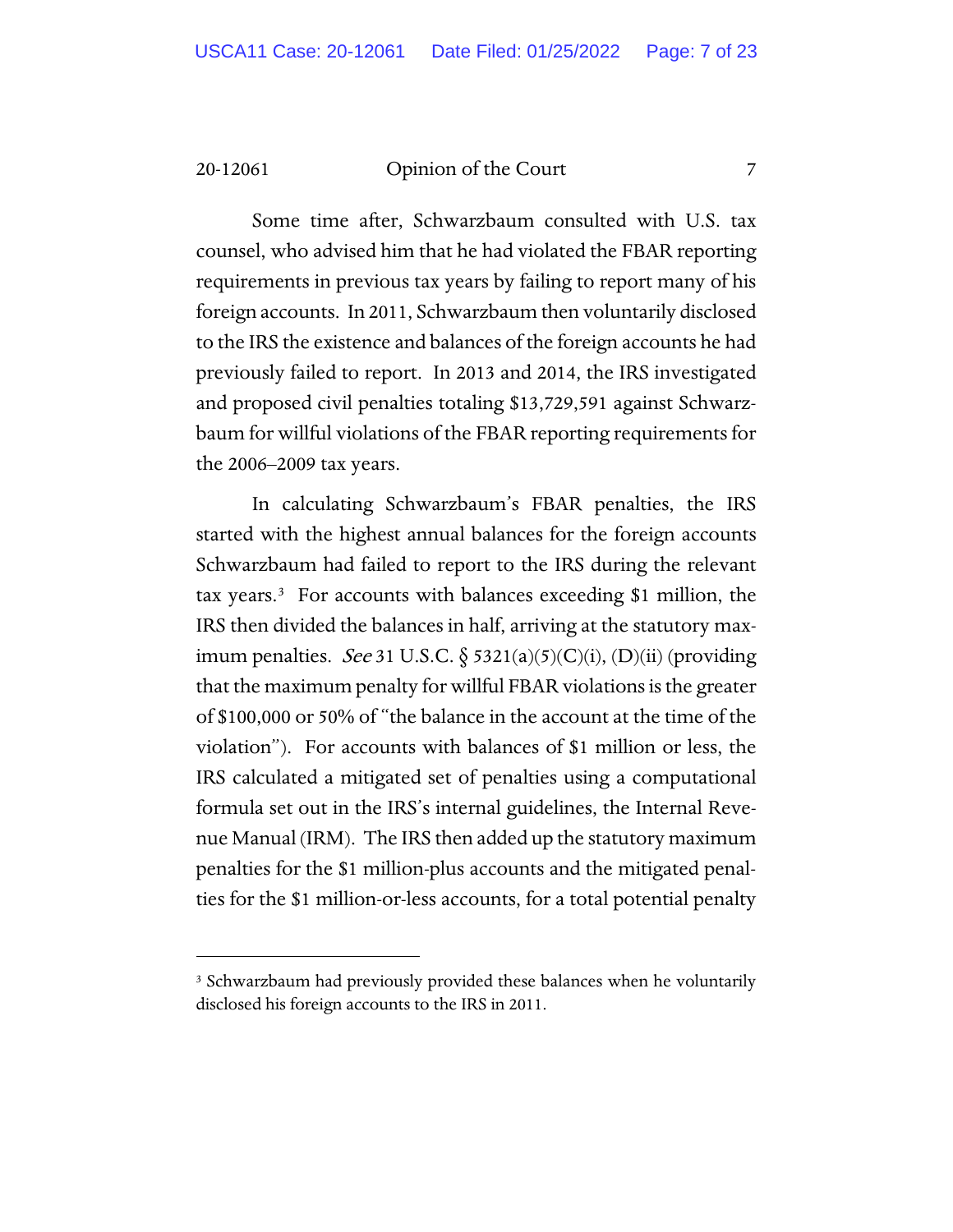Some time after, Schwarzbaum consulted with U.S. tax counsel, who advised him that he had violated the FBAR reporting requirements in previous tax years by failing to report many of his foreign accounts. In 2011, Schwarzbaum then voluntarily disclosed to the IRS the existence and balances of the foreign accounts he had previously failed to report. In 2013 and 2014, the IRS investigated and proposed civil penalties totaling \$13,729,591 against Schwarzbaum for willful violations of the FBAR reporting requirements for the 2006–2009 tax years.

In calculating Schwarzbaum's FBAR penalties, the IRS started with the highest annual balances for the foreign accounts Schwarzbaum had failed to report to the IRS during the relevant tax years.<sup>3</sup> For accounts with balances exceeding \$1 million, the IRS then divided the balances in half, arriving at the statutory maximum penalties. See 31 U.S.C.  $\S$  5321(a)(5)(C)(i), (D)(ii) (providing that the maximum penalty for willful FBAR violations is the greater of \$100,000 or 50% of "the balance in the account at the time of the violation"). For accounts with balances of \$1 million or less, the IRS calculated a mitigated set of penalties using a computational formula set out in the IRS's internal guidelines, the Internal Revenue Manual (IRM). The IRS then added up the statutory maximum penalties for the \$1 million-plus accounts and the mitigated penalties for the \$1 million-or-less accounts, for a total potential penalty

<span id="page-6-0"></span><sup>&</sup>lt;sup>3</sup> Schwarzbaum had previously provided these balances when he voluntarily disclosed his foreign accounts to the IRS in 2011.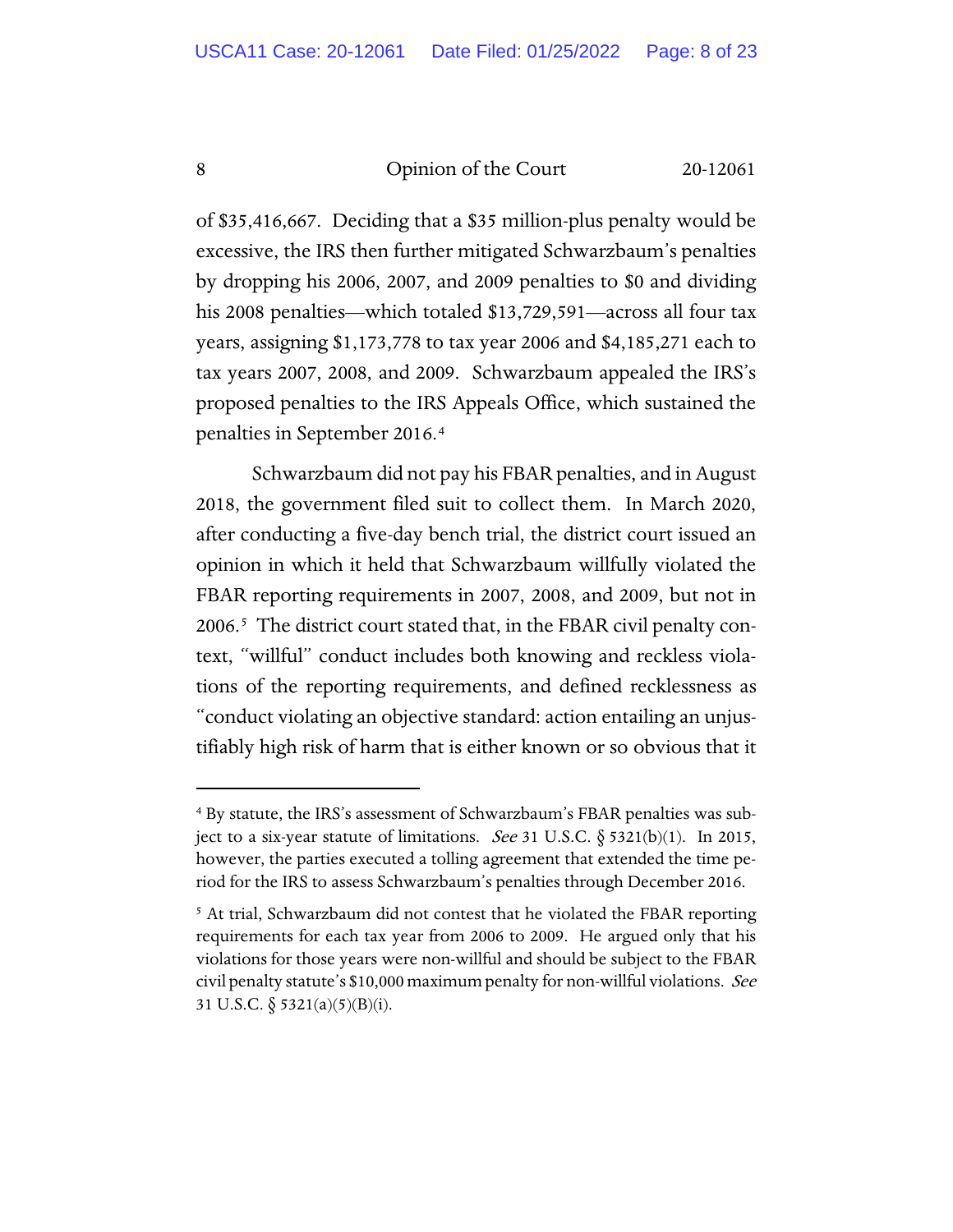of \$35,416,667. Deciding that a \$35 million-plus penalty would be excessive, the IRS then further mitigated Schwarzbaum's penalties by dropping his 2006, 2007, and 2009 penalties to \$0 and dividing his 2008 penalties—which totaled \$13,729,591—across all four tax years, assigning \$1,173,778 to tax year 2006 and \$4,185,271 each to tax years 2007, 2008, and 2009. Schwarzbaum appealed the IRS's proposed penalties to the IRS Appeals Office, which sustained the penalties in September 2016.[4](#page-7-0)

Schwarzbaum did not pay his FBAR penalties, and in August 2018, the government filed suit to collect them. In March 2020, after conducting a five-day bench trial, the district court issued an opinion in which it held that Schwarzbaum willfully violated the FBAR reporting requirements in 2007, 2008, and 2009, but not in 2006.[5](#page-7-1) The district court stated that, in the FBAR civil penalty context, "willful" conduct includes both knowing and reckless violations of the reporting requirements, and defined recklessness as "conduct violating an objective standard: action entailing an unjustifiably high risk of harm that is either known or so obvious that it

<span id="page-7-0"></span><sup>4</sup> By statute, the IRS's assessment of Schwarzbaum's FBAR penalties was subject to a six-year statute of limitations. *See* 31 U.S.C.  $\S$  5321(b)(1). In 2015, however, the parties executed a tolling agreement that extended the time period for the IRS to assess Schwarzbaum's penalties through December 2016.

<span id="page-7-1"></span><sup>&</sup>lt;sup>5</sup> At trial, Schwarzbaum did not contest that he violated the FBAR reporting requirements for each tax year from 2006 to 2009. He argued only that his violations for those years were non-willful and should be subject to the FBAR civil penalty statute's \$10,000 maximum penalty for non-willful violations. See 31 U.S.C.  $\S$  5321(a)(5)(B)(i).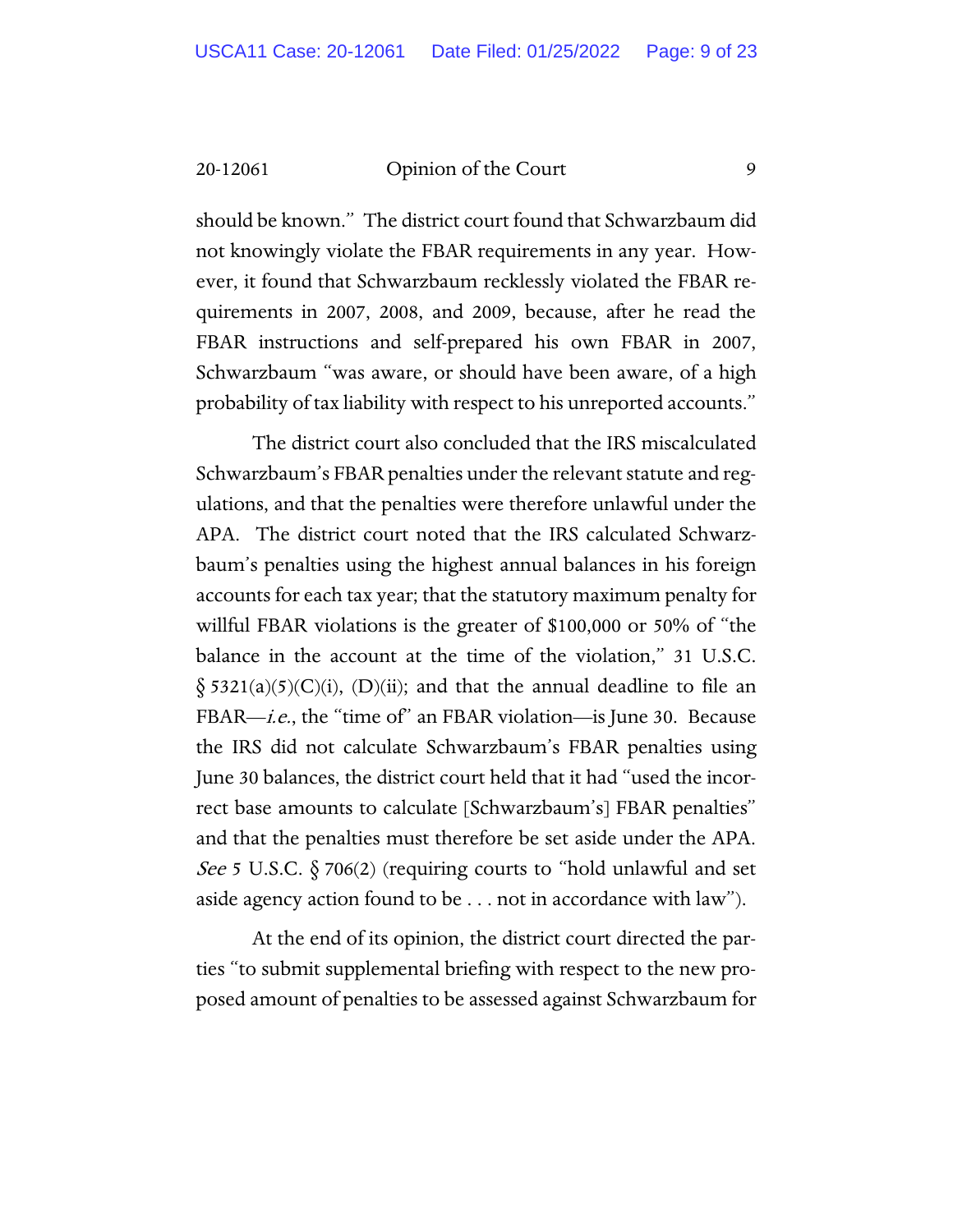should be known." The district court found that Schwarzbaum did not knowingly violate the FBAR requirements in any year. However, it found that Schwarzbaum recklessly violated the FBAR requirements in 2007, 2008, and 2009, because, after he read the FBAR instructions and self-prepared his own FBAR in 2007, Schwarzbaum "was aware, or should have been aware, of a high probability of tax liability with respect to his unreported accounts."

The district court also concluded that the IRS miscalculated Schwarzbaum's FBAR penalties under the relevant statute and regulations, and that the penalties were therefore unlawful under the APA. The district court noted that the IRS calculated Schwarzbaum's penalties using the highest annual balances in his foreign accounts for each tax year; that the statutory maximum penalty for willful FBAR violations is the greater of \$100,000 or 50% of "the balance in the account at the time of the violation," 31 U.S.C.  $\S$  5321(a)(5)(C)(i), (D)(ii); and that the annual deadline to file an FBAR—*i.e.*, the "time of" an FBAR violation—is June 30. Because the IRS did not calculate Schwarzbaum's FBAR penalties using June 30 balances, the district court held that it had "used the incorrect base amounts to calculate [Schwarzbaum's] FBAR penalties" and that the penalties must therefore be set aside under the APA. *See* 5 U.S.C.  $\S 706(2)$  (requiring courts to "hold unlawful and set aside agency action found to be . . . not in accordance with law").

At the end of its opinion, the district court directed the parties "to submit supplemental briefing with respect to the new proposed amount of penalties to be assessed against Schwarzbaum for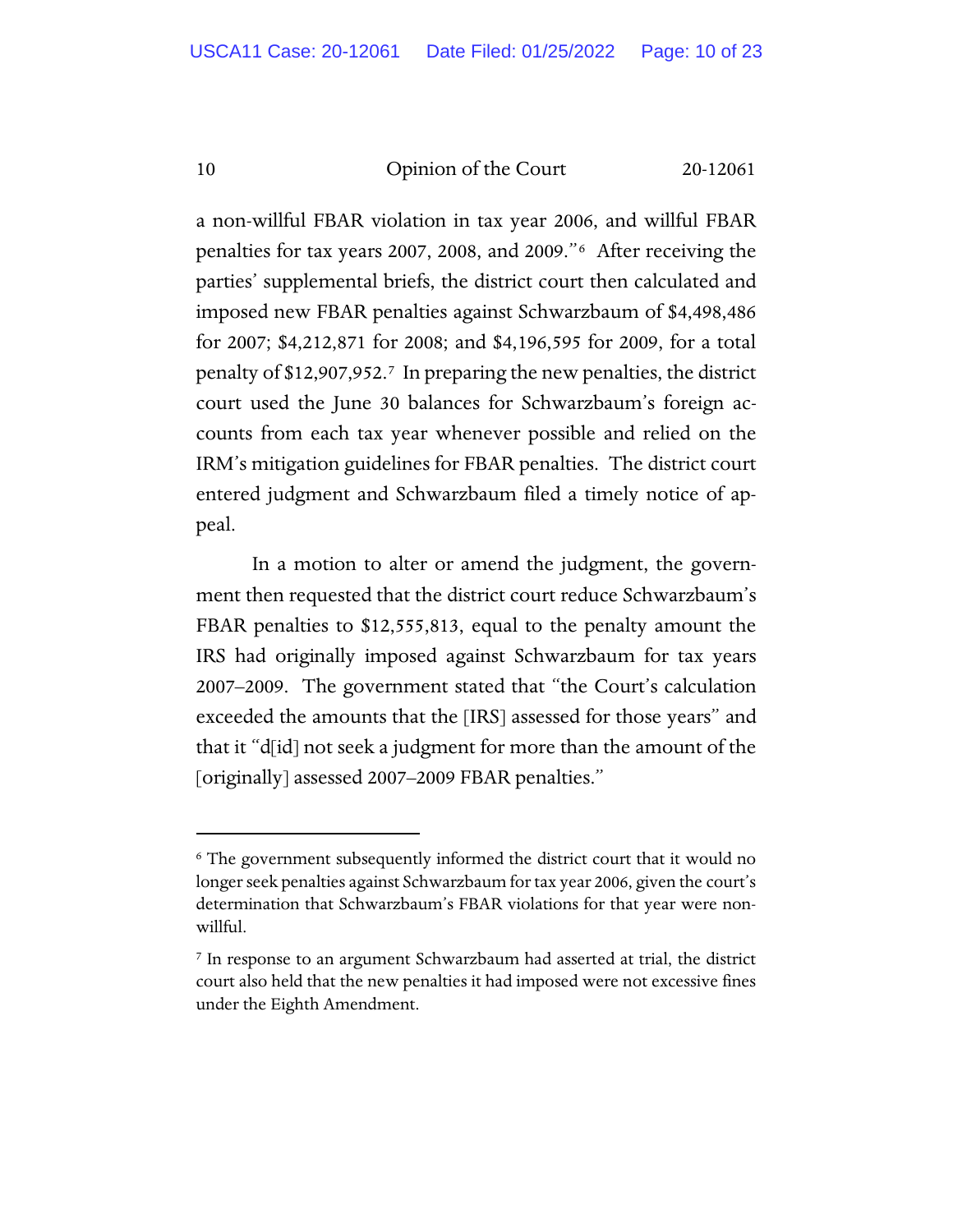a non-willful FBAR violation in tax year 2006, and willful FBAR penalties for tax years 2007, 2008, and 2009."[6](#page-9-0) After receiving the parties' supplemental briefs, the district court then calculated and imposed new FBAR penalties against Schwarzbaum of \$4,498,486 for 2007; \$4,212,871 for 2008; and \$4,196,595 for 2009, for a total penalty of \$12,907,952.[7](#page-9-1) In preparing the new penalties, the district court used the June 30 balances for Schwarzbaum's foreign accounts from each tax year whenever possible and relied on the IRM's mitigation guidelines for FBAR penalties. The district court entered judgment and Schwarzbaum filed a timely notice of appeal.

In a motion to alter or amend the judgment, the government then requested that the district court reduce Schwarzbaum's FBAR penalties to \$12,555,813, equal to the penalty amount the IRS had originally imposed against Schwarzbaum for tax years 2007–2009. The government stated that "the Court's calculation exceeded the amounts that the [IRS] assessed for those years" and that it "d[id] not seek a judgment for more than the amount of the [originally] assessed 2007–2009 FBAR penalties."

<span id="page-9-0"></span><sup>6</sup> The government subsequently informed the district court that it would no longer seek penalties against Schwarzbaum for tax year 2006, given the court's determination that Schwarzbaum's FBAR violations for that year were nonwillful.

<span id="page-9-1"></span><sup>7</sup> In response to an argument Schwarzbaum had asserted at trial, the district court also held that the new penalties it had imposed were not excessive fines under the Eighth Amendment.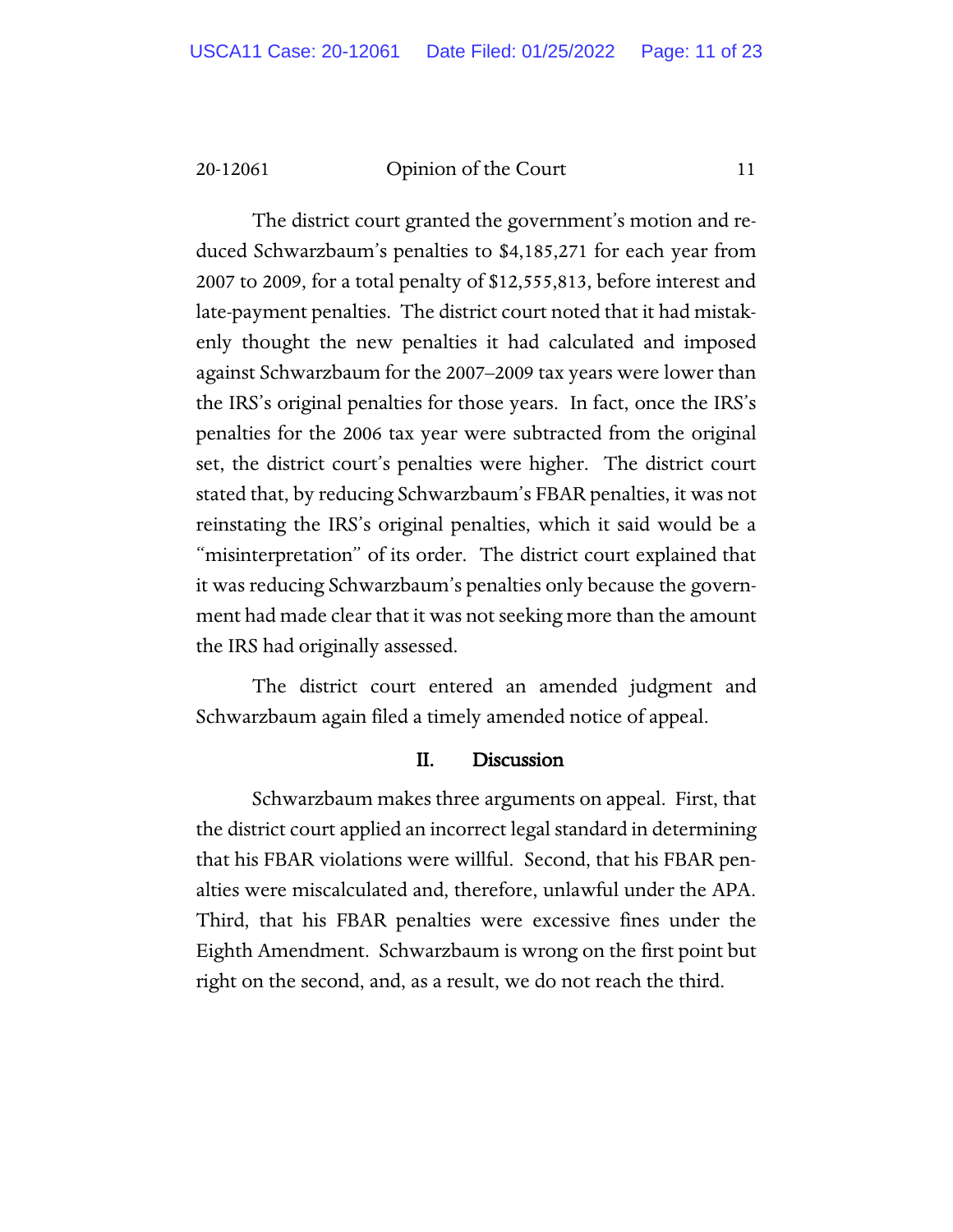The district court granted the government's motion and reduced Schwarzbaum's penalties to \$4,185,271 for each year from 2007 to 2009, for a total penalty of \$12,555,813, before interest and late-payment penalties. The district court noted that it had mistakenly thought the new penalties it had calculated and imposed against Schwarzbaum for the 2007–2009 tax years were lower than the IRS's original penalties for those years. In fact, once the IRS's penalties for the 2006 tax year were subtracted from the original set, the district court's penalties were higher. The district court stated that, by reducing Schwarzbaum's FBAR penalties, it was not reinstating the IRS's original penalties, which it said would be a "misinterpretation" of its order. The district court explained that it was reducing Schwarzbaum's penalties only because the government had made clear that it was not seeking more than the amount the IRS had originally assessed.

The district court entered an amended judgment and Schwarzbaum again filed a timely amended notice of appeal.

#### II. Discussion

Schwarzbaum makes three arguments on appeal. First, that the district court applied an incorrect legal standard in determining that his FBAR violations were willful. Second, that his FBAR penalties were miscalculated and, therefore, unlawful under the APA. Third, that his FBAR penalties were excessive fines under the Eighth Amendment. Schwarzbaum is wrong on the first point but right on the second, and, as a result, we do not reach the third.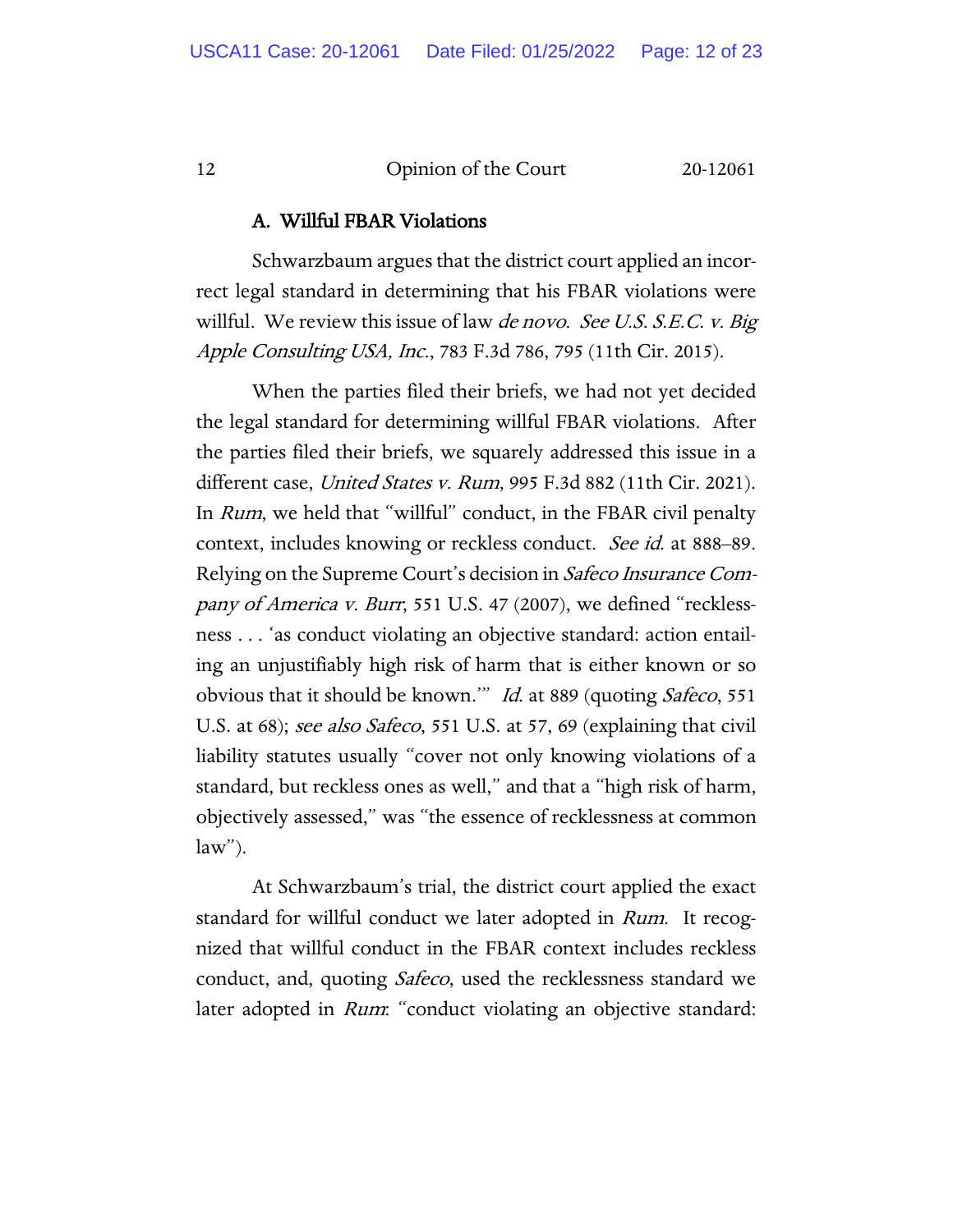#### A. Willful FBAR Violations

Schwarzbaum argues that the district court applied an incorrect legal standard in determining that his FBAR violations were willful. We review this issue of law *de novo. See U.S. S.E.C. v. Big* Apple Consulting USA, Inc., 783 F.3d 786, 795 (11th Cir. 2015).

When the parties filed their briefs, we had not yet decided the legal standard for determining willful FBAR violations. After the parties filed their briefs, we squarely addressed this issue in a different case, United States v. Rum, 995 F.3d 882 (11th Cir. 2021). In Rum, we held that "willful" conduct, in the FBAR civil penalty context, includes knowing or reckless conduct. *See id.* at 888–89. Relying on the Supreme Court's decision in Safeco Insurance Company of America v. Burr, 551 U.S. 47 (2007), we defined "recklessness . . . 'as conduct violating an objective standard: action entailing an unjustifiably high risk of harm that is either known or so obvious that it should be known.'" Id. at 889 (quoting Safeco, 551 U.S. at 68); see also Safeco, 551 U.S. at 57, 69 (explaining that civil liability statutes usually "cover not only knowing violations of a standard, but reckless ones as well," and that a "high risk of harm, objectively assessed," was "the essence of recklessness at common  $law$ ").

At Schwarzbaum's trial, the district court applied the exact standard for willful conduct we later adopted in Rum. It recognized that willful conduct in the FBAR context includes reckless conduct, and, quoting *Safeco*, used the recklessness standard we later adopted in *Rum*: "conduct violating an objective standard: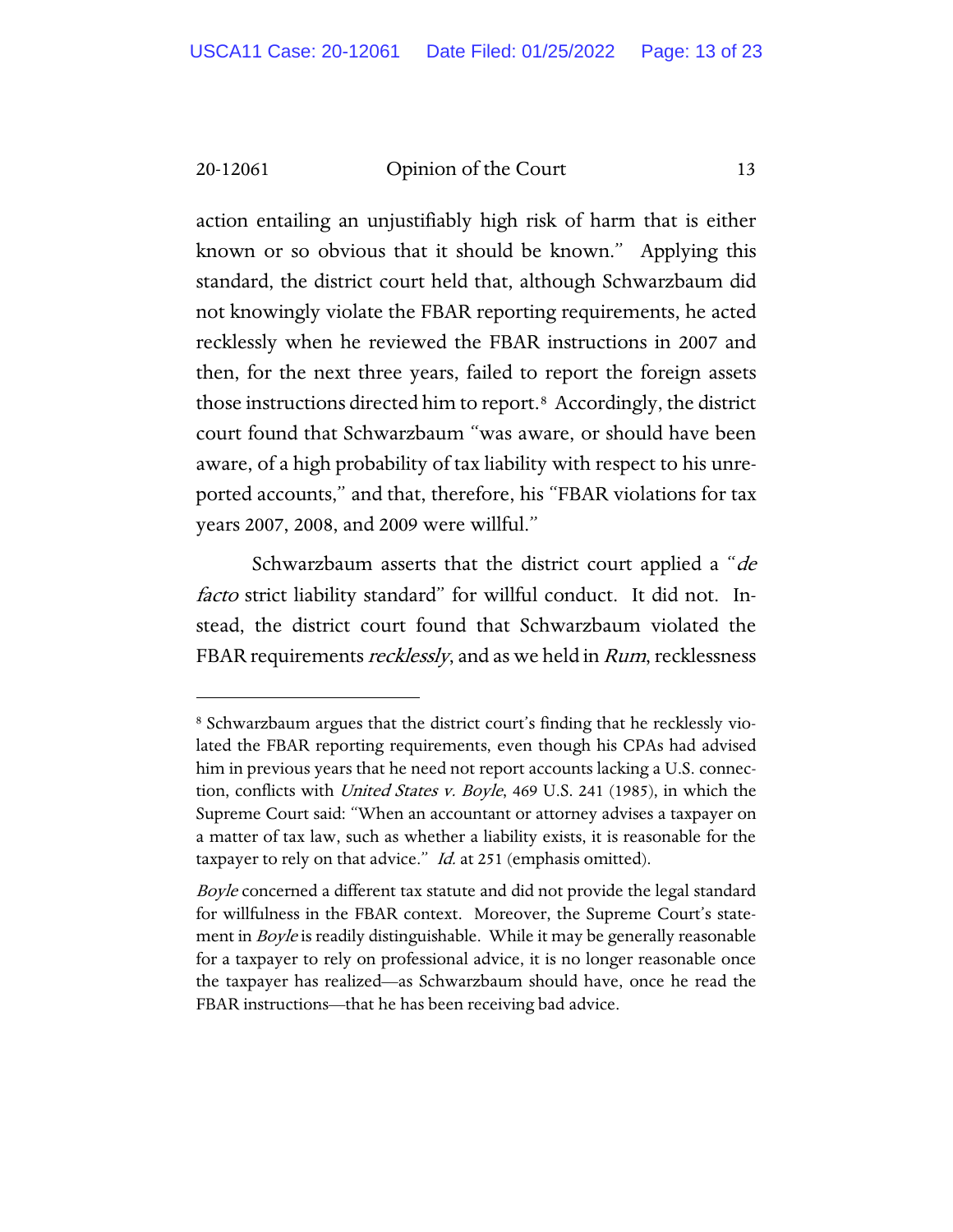action entailing an unjustifiably high risk of harm that is either known or so obvious that it should be known." Applying this standard, the district court held that, although Schwarzbaum did not knowingly violate the FBAR reporting requirements, he acted recklessly when he reviewed the FBAR instructions in 2007 and then, for the next three years, failed to report the foreign assets those instructions directed him to report.[8](#page-12-0) Accordingly, the district court found that Schwarzbaum "was aware, or should have been aware, of a high probability of tax liability with respect to his unreported accounts," and that, therefore, his "FBAR violations for tax years 2007, 2008, and 2009 were willful."

Schwarzbaum asserts that the district court applied a "de facto strict liability standard" for willful conduct. It did not. Instead, the district court found that Schwarzbaum violated the FBAR requirements *recklessly*, and as we held in *Rum*, recklessness

<span id="page-12-0"></span><sup>8</sup> Schwarzbaum argues that the district court's finding that he recklessly violated the FBAR reporting requirements, even though his CPAs had advised him in previous years that he need not report accounts lacking a U.S. connection, conflicts with *United States v. Boyle*, 469 U.S. 241 (1985), in which the Supreme Court said: "When an accountant or attorney advises a taxpayer on a matter of tax law, such as whether a liability exists, it is reasonable for the taxpayer to rely on that advice." *Id.* at 251 (emphasis omitted).

Boyle concerned a different tax statute and did not provide the legal standard for willfulness in the FBAR context. Moreover, the Supreme Court's statement in *Boyle* is readily distinguishable. While it may be generally reasonable for a taxpayer to rely on professional advice, it is no longer reasonable once the taxpayer has realized—as Schwarzbaum should have, once he read the FBAR instructions—that he has been receiving bad advice.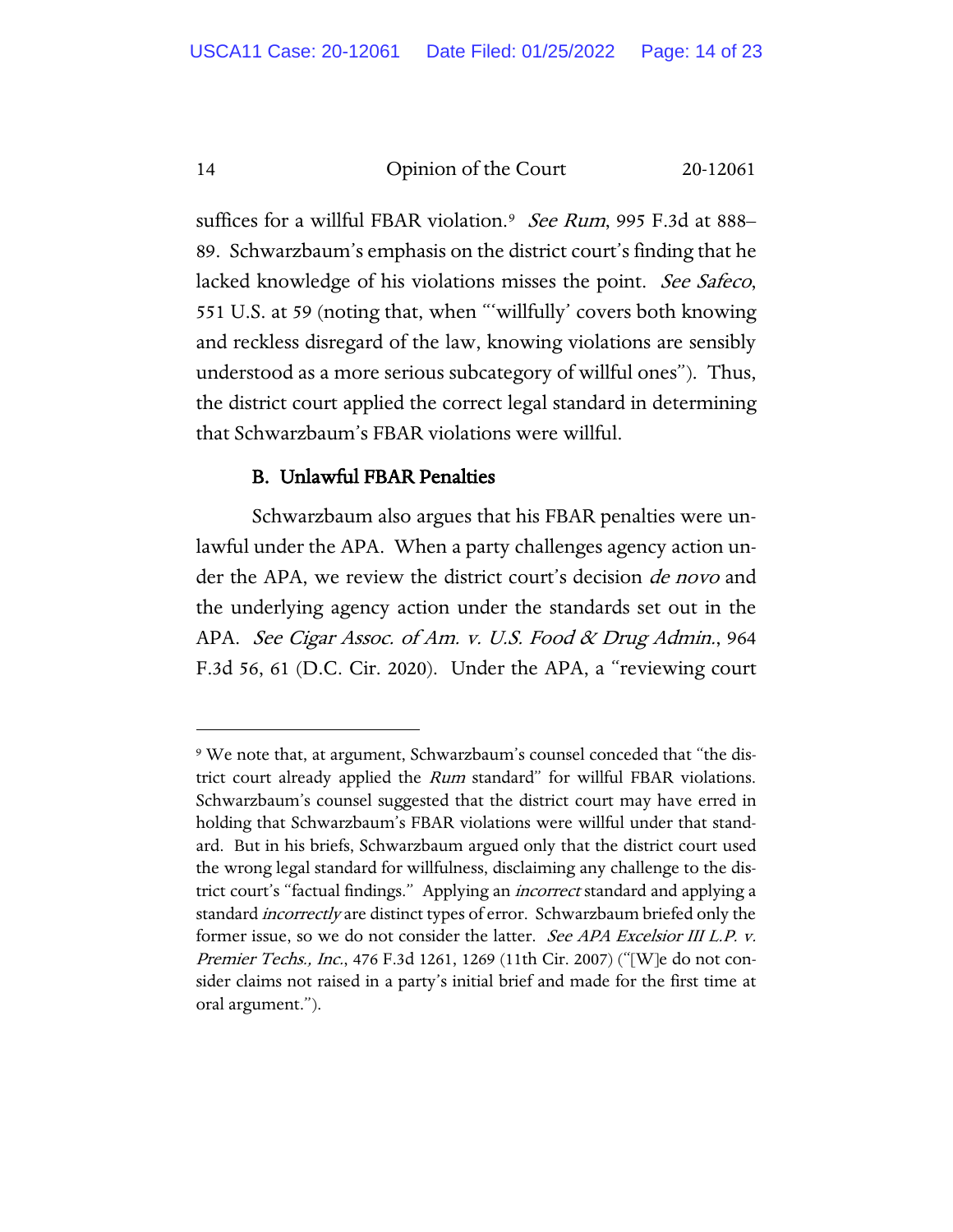suffices for a willful FBAR violation.<sup>[9](#page-13-0)</sup> See Rum, 995 F.3d at 888– 89. Schwarzbaum's emphasis on the district court's finding that he lacked knowledge of his violations misses the point. See Safeco, 551 U.S. at 59 (noting that, when "'willfully' covers both knowing and reckless disregard of the law, knowing violations are sensibly understood as a more serious subcategory of willful ones"). Thus, the district court applied the correct legal standard in determining that Schwarzbaum's FBAR violations were willful.

## B. Unlawful FBAR Penalties

Schwarzbaum also argues that his FBAR penalties were unlawful under the APA. When a party challenges agency action under the APA, we review the district court's decision *de novo* and the underlying agency action under the standards set out in the APA. See Cigar Assoc. of Am. v. U.S. Food & Drug Admin., 964 F.3d 56, 61 (D.C. Cir. 2020). Under the APA, a "reviewing court

<span id="page-13-0"></span><sup>9</sup> We note that, at argument, Schwarzbaum's counsel conceded that "the district court already applied the Rum standard" for willful FBAR violations. Schwarzbaum's counsel suggested that the district court may have erred in holding that Schwarzbaum's FBAR violations were willful under that standard. But in his briefs, Schwarzbaum argued only that the district court used the wrong legal standard for willfulness, disclaiming any challenge to the district court's "factual findings." Applying an *incorrect* standard and applying a standard *incorrectly* are distinct types of error. Schwarzbaum briefed only the former issue, so we do not consider the latter. See APA Excelsior III L.P. v. Premier Techs., Inc., 476 F.3d 1261, 1269 (11th Cir. 2007) ("[W]e do not consider claims not raised in a party's initial brief and made for the first time at oral argument.").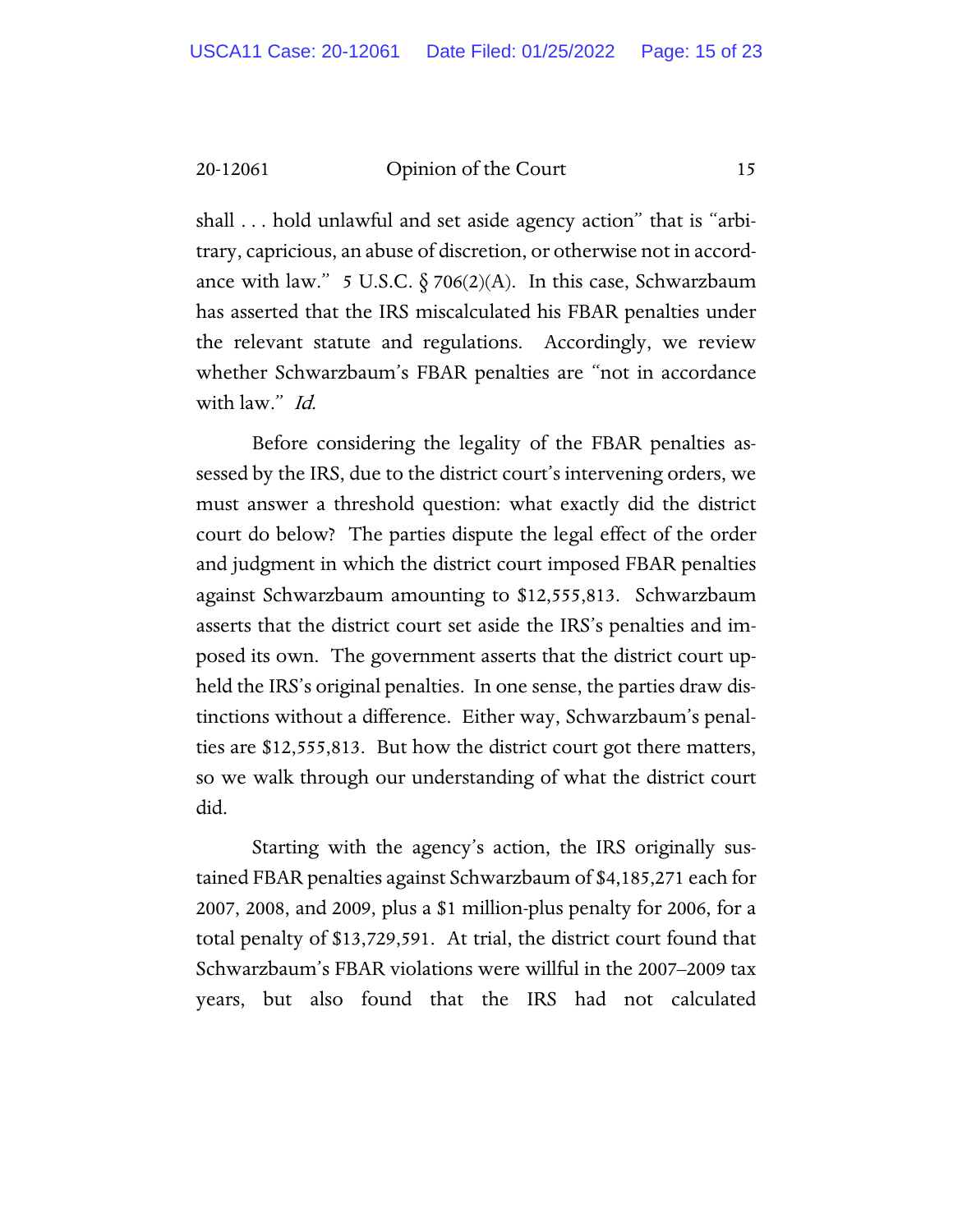shall . . . hold unlawful and set aside agency action" that is "arbitrary, capricious, an abuse of discretion, or otherwise not in accordance with law." 5 U.S.C.  $\delta$  706(2)(A). In this case, Schwarzbaum has asserted that the IRS miscalculated his FBAR penalties under the relevant statute and regulations. Accordingly, we review whether Schwarzbaum's FBAR penalties are "not in accordance with law." *Id.* 

Before considering the legality of the FBAR penalties assessed by the IRS, due to the district court's intervening orders, we must answer a threshold question: what exactly did the district court do below? The parties dispute the legal effect of the order and judgment in which the district court imposed FBAR penalties against Schwarzbaum amounting to \$12,555,813. Schwarzbaum asserts that the district court set aside the IRS's penalties and imposed its own. The government asserts that the district court upheld the IRS's original penalties. In one sense, the parties draw distinctions without a difference. Either way, Schwarzbaum's penalties are \$12,555,813. But how the district court got there matters, so we walk through our understanding of what the district court did.

Starting with the agency's action, the IRS originally sustained FBAR penalties against Schwarzbaum of \$4,185,271 each for 2007, 2008, and 2009, plus a \$1 million-plus penalty for 2006, for a total penalty of \$13,729,591. At trial, the district court found that Schwarzbaum's FBAR violations were willful in the 2007–2009 tax years, but also found that the IRS had not calculated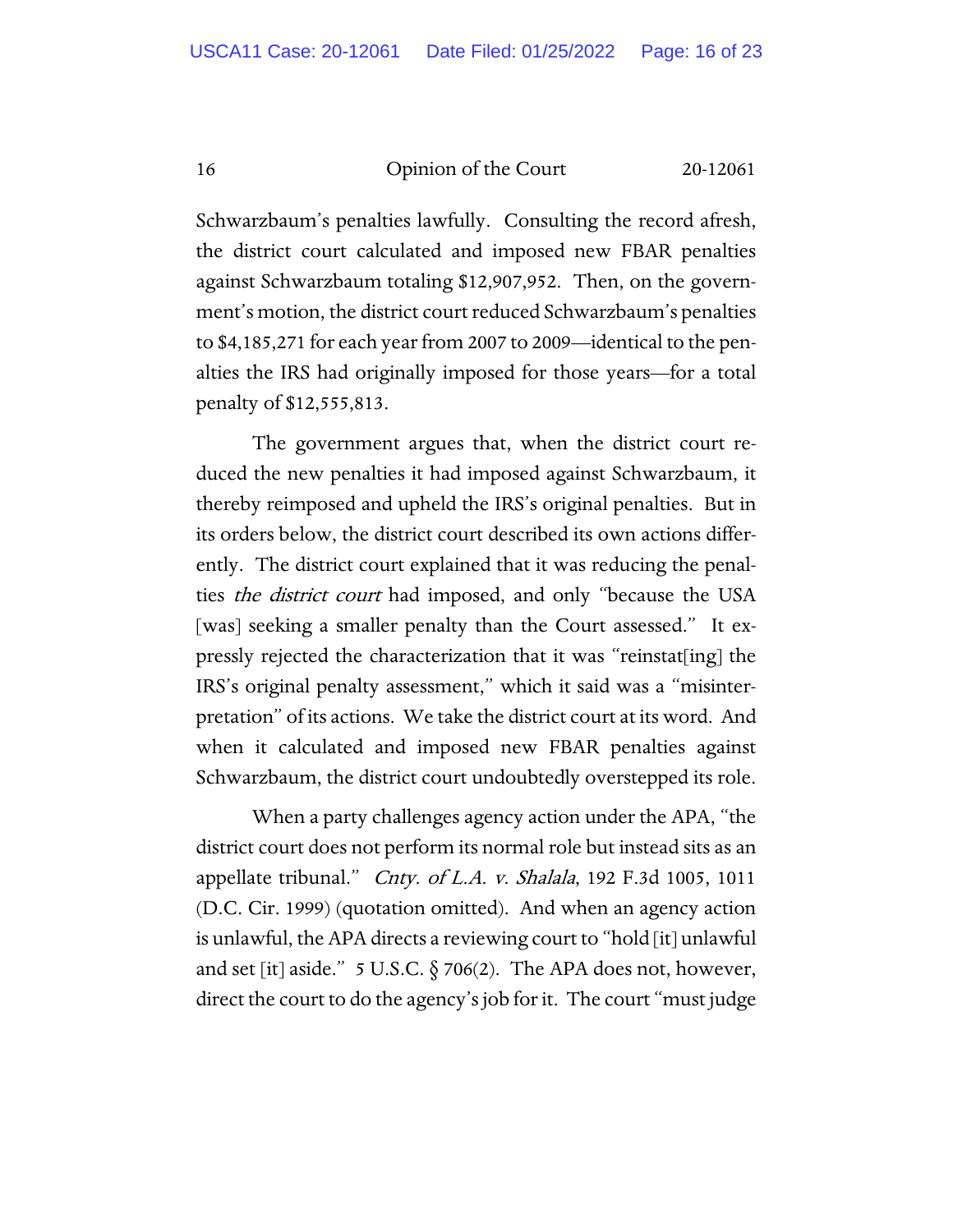Schwarzbaum's penalties lawfully. Consulting the record afresh, the district court calculated and imposed new FBAR penalties against Schwarzbaum totaling \$12,907,952. Then, on the government's motion, the district court reduced Schwarzbaum's penalties to \$4,185,271 for each year from 2007 to 2009—identical to the penalties the IRS had originally imposed for those years—for a total penalty of \$12,555,813.

The government argues that, when the district court reduced the new penalties it had imposed against Schwarzbaum, it thereby reimposed and upheld the IRS's original penalties. But in its orders below, the district court described its own actions differently. The district court explained that it was reducing the penalties *the district court* had imposed, and only "because the USA [was] seeking a smaller penalty than the Court assessed." It expressly rejected the characterization that it was "reinstat[ing] the IRS's original penalty assessment," which it said was a "misinterpretation" of its actions. We take the district court at its word. And when it calculated and imposed new FBAR penalties against Schwarzbaum, the district court undoubtedly overstepped its role.

When a party challenges agency action under the APA, "the district court does not perform its normal role but instead sits as an appellate tribunal." *Cnty. of L.A. v. Shalala*, 192 F.3d 1005, 1011 (D.C. Cir. 1999) (quotation omitted). And when an agency action is unlawful, the APA directs a reviewing court to "hold [it] unlawful and set [it] aside." 5 U.S.C.  $\S 706(2)$ . The APA does not, however, direct the court to do the agency's job for it. The court "must judge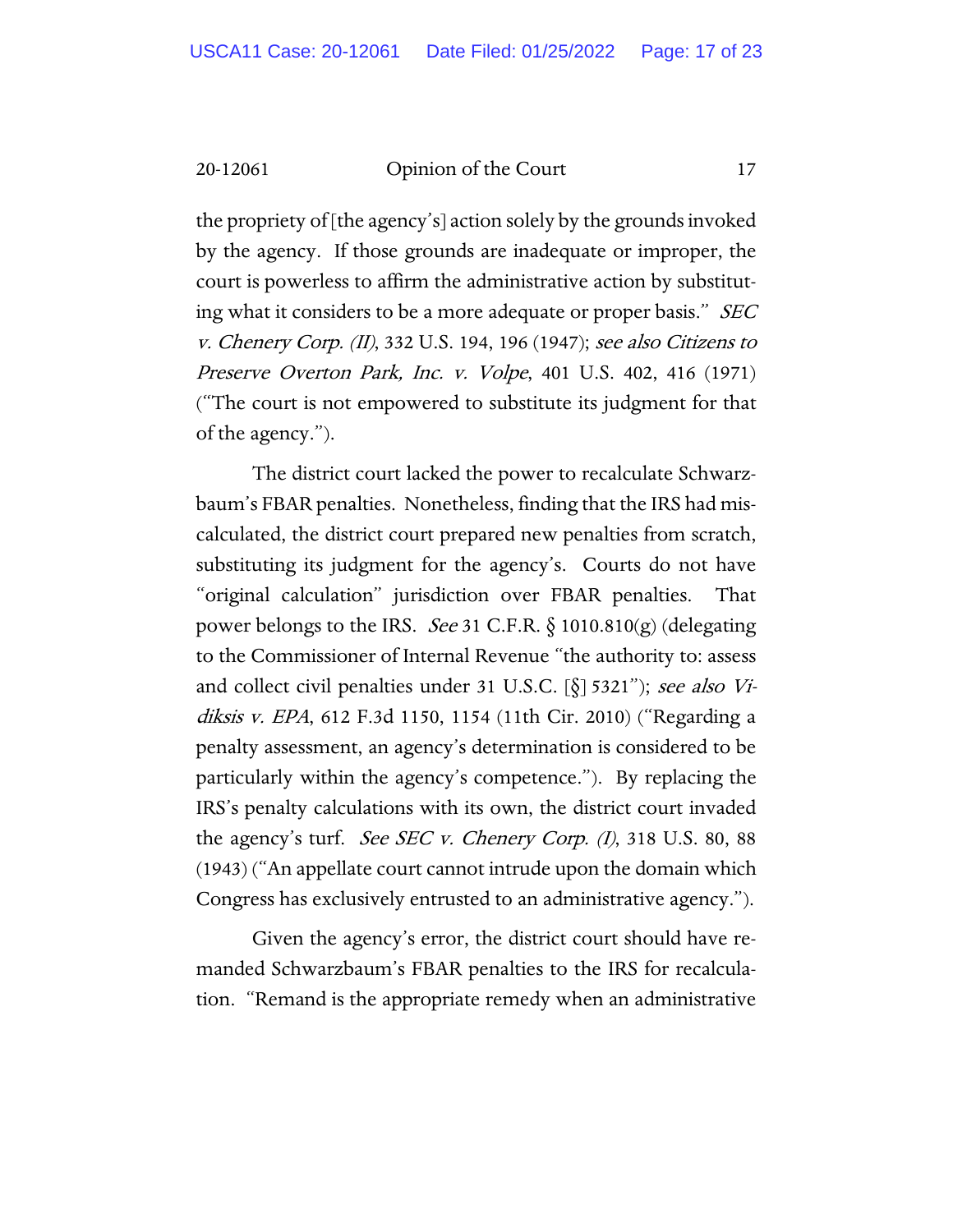the propriety of [the agency's] action solely by the grounds invoked by the agency. If those grounds are inadequate or improper, the court is powerless to affirm the administrative action by substituting what it considers to be a more adequate or proper basis." SEC v. Chenery Corp. (II), 332 U.S. 194, 196 (1947); see also Citizens to Preserve Overton Park, Inc. v. Volpe, 401 U.S. 402, 416 (1971) ("The court is not empowered to substitute its judgment for that of the agency.").

The district court lacked the power to recalculate Schwarzbaum's FBAR penalties. Nonetheless, finding that the IRS had miscalculated, the district court prepared new penalties from scratch, substituting its judgment for the agency's. Courts do not have "original calculation" jurisdiction over FBAR penalties. That power belongs to the IRS. See 31 C.F.R.  $\S$  1010.810(g) (delegating to the Commissioner of Internal Revenue "the authority to: assess and collect civil penalties under 31 U.S.C.  $[\S]$  5321"); see also Vidiksis v. EPA, 612 F.3d 1150, 1154 (11th Cir. 2010) ("Regarding a penalty assessment, an agency's determination is considered to be particularly within the agency's competence."). By replacing the IRS's penalty calculations with its own, the district court invaded the agency's turf. See SEC v. Chenery Corp. (I), 318 U.S. 80, 88 (1943) ("An appellate court cannot intrude upon the domain which Congress has exclusively entrusted to an administrative agency.").

Given the agency's error, the district court should have remanded Schwarzbaum's FBAR penalties to the IRS for recalculation. "Remand is the appropriate remedy when an administrative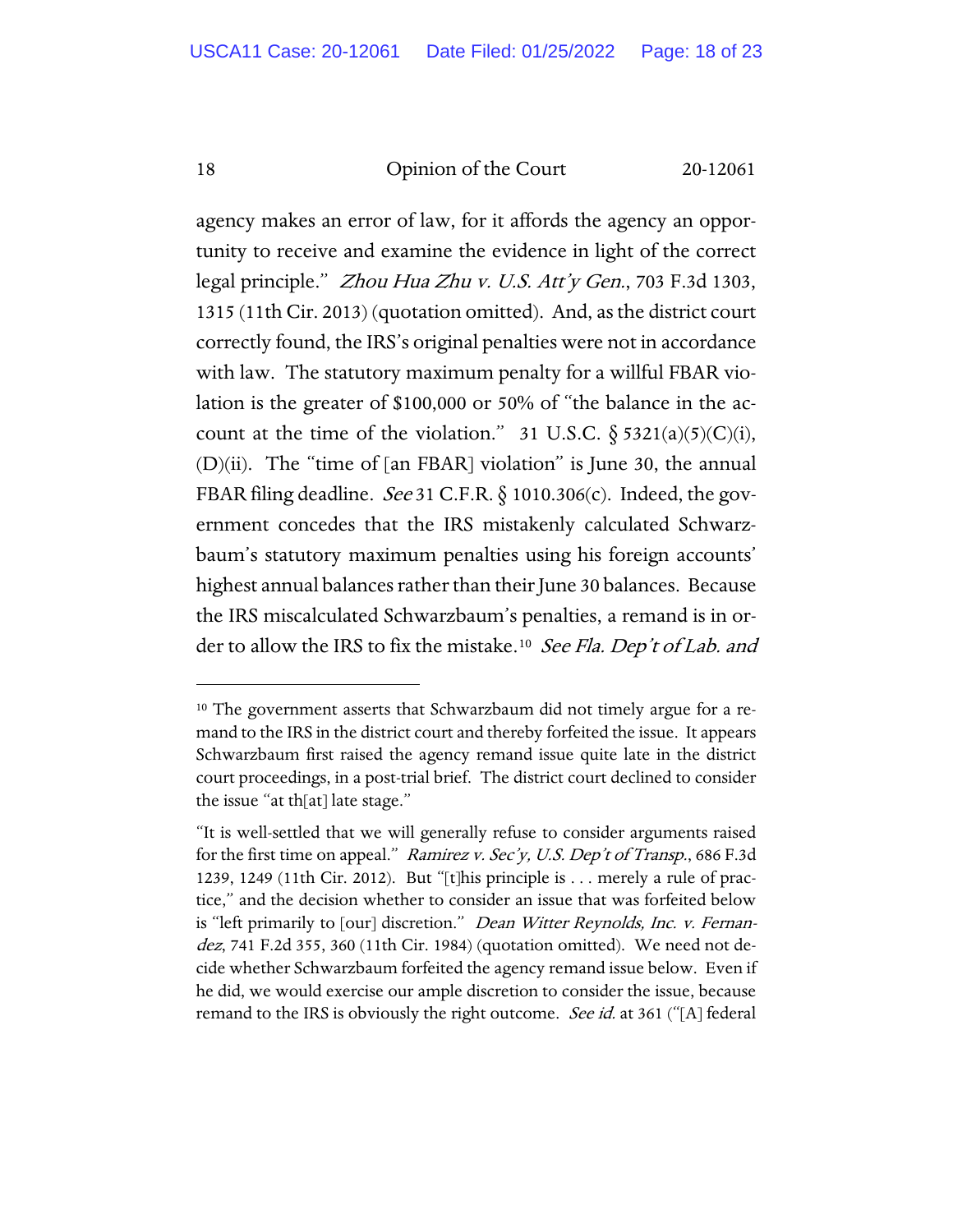agency makes an error of law, for it affords the agency an opportunity to receive and examine the evidence in light of the correct legal principle." Zhou Hua Zhu v. U.S. Att'y Gen., 703 F.3d 1303, 1315 (11th Cir. 2013) (quotation omitted). And, as the district court correctly found, the IRS's original penalties were not in accordance with law. The statutory maximum penalty for a willful FBAR violation is the greater of \$100,000 or 50% of "the balance in the account at the time of the violation." 31 U.S.C.  $\S$  5321(a)(5)(C)(i),  $(D)(ii)$ . The "time of [an FBAR] violation" is June 30, the annual FBAR filing deadline. See 31 C.F.R.  $\S$  1010.306(c). Indeed, the government concedes that the IRS mistakenly calculated Schwarzbaum's statutory maximum penalties using his foreign accounts' highest annual balances rather than their June 30 balances. Because the IRS miscalculated Schwarzbaum's penalties, a remand is in order to allow the IRS to fix the mistake.<sup>10</sup> See Fla. Dep't of Lab. and

<span id="page-17-0"></span><sup>&</sup>lt;sup>10</sup> The government asserts that Schwarzbaum did not timely argue for a remand to the IRS in the district court and thereby forfeited the issue. It appears Schwarzbaum first raised the agency remand issue quite late in the district court proceedings, in a post-trial brief. The district court declined to consider the issue "at th[at] late stage."

<sup>&</sup>quot;It is well-settled that we will generally refuse to consider arguments raised for the first time on appeal." Ramirez v. Sec'y, U.S. Dep't of Transp., 686 F.3d 1239, 1249 (11th Cir. 2012). But "[t]his principle is . . . merely a rule of practice," and the decision whether to consider an issue that was forfeited below is "left primarily to [our] discretion." *Dean Witter Reynolds, Inc. v. Fernan*dez, 741 F.2d 355, 360 (11th Cir. 1984) (quotation omitted). We need not decide whether Schwarzbaum forfeited the agency remand issue below. Even if he did, we would exercise our ample discretion to consider the issue, because remand to the IRS is obviously the right outcome. *See id.* at 361 ("[A] federal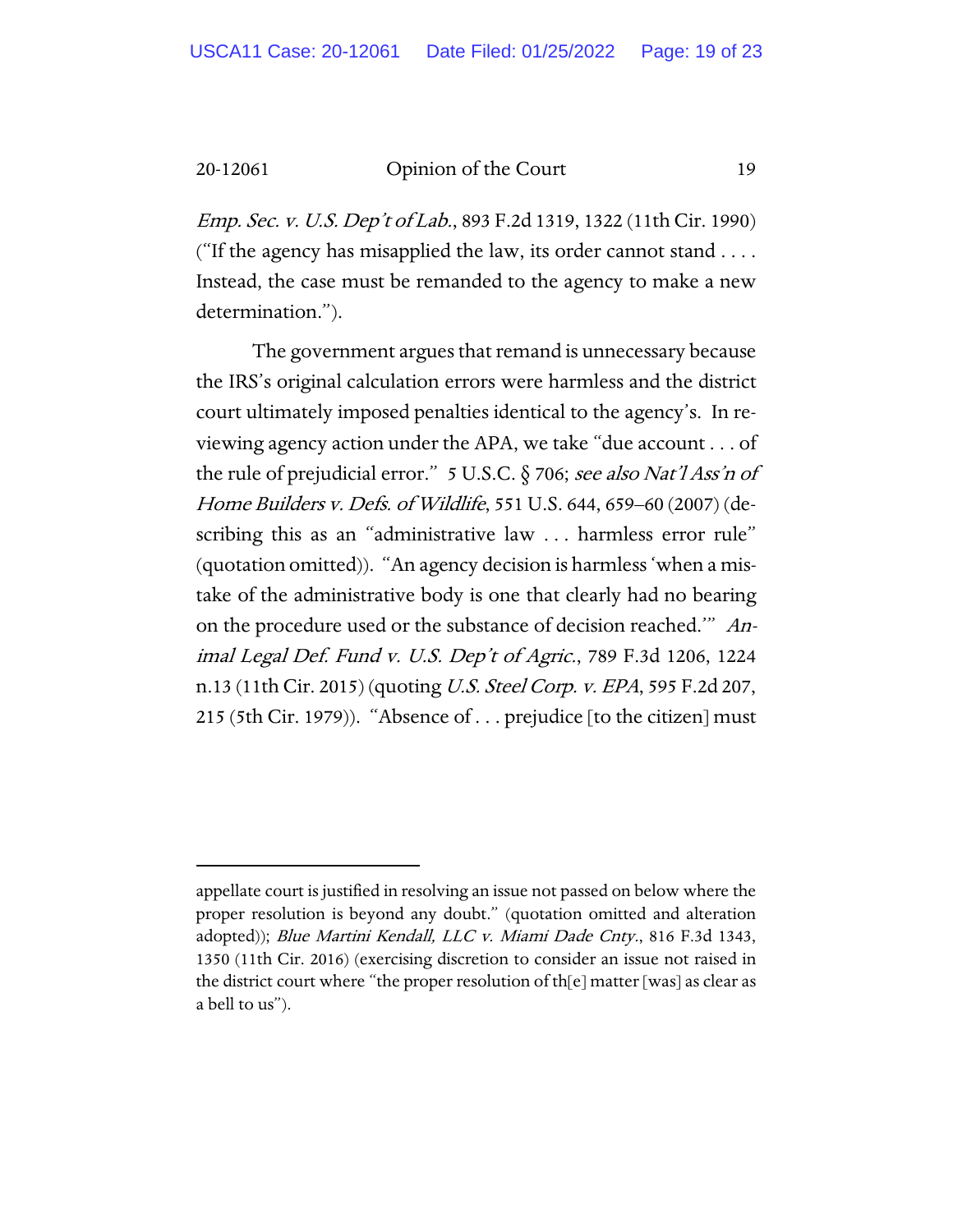Emp. Sec. v. U.S. Dep't of Lab., 893 F.2d 1319, 1322 (11th Cir. 1990) ("If the agency has misapplied the law, its order cannot stand . . . . Instead, the case must be remanded to the agency to make a new determination.").

The government argues that remand is unnecessary because the IRS's original calculation errors were harmless and the district court ultimately imposed penalties identical to the agency's. In reviewing agency action under the APA, we take "due account . . . of the rule of prejudicial error." 5 U.S.C. § 706; see also Nat'l Ass'n of Home Builders v. Defs. of Wildlife, 551 U.S. 644, 659–60 (2007) (describing this as an "administrative law . . . harmless error rule" (quotation omitted)). "An agency decision is harmless 'when a mistake of the administrative body is one that clearly had no bearing on the procedure used or the substance of decision reached.'" Animal Legal Def. Fund v. U.S. Dep't of Agric., 789 F.3d 1206, 1224 n.13 (11th Cir. 2015) (quoting U.S. Steel Corp. v. EPA, 595 F.2d 207, 215 (5th Cir. 1979)). "Absence of . . . prejudice [to the citizen] must

appellate court is justified in resolving an issue not passed on below where the proper resolution is beyond any doubt." (quotation omitted and alteration adopted)); Blue Martini Kendall, LLC v. Miami Dade Cnty., 816 F.3d 1343, 1350 (11th Cir. 2016) (exercising discretion to consider an issue not raised in the district court where "the proper resolution of th[e] matter [was] as clear as a bell to us").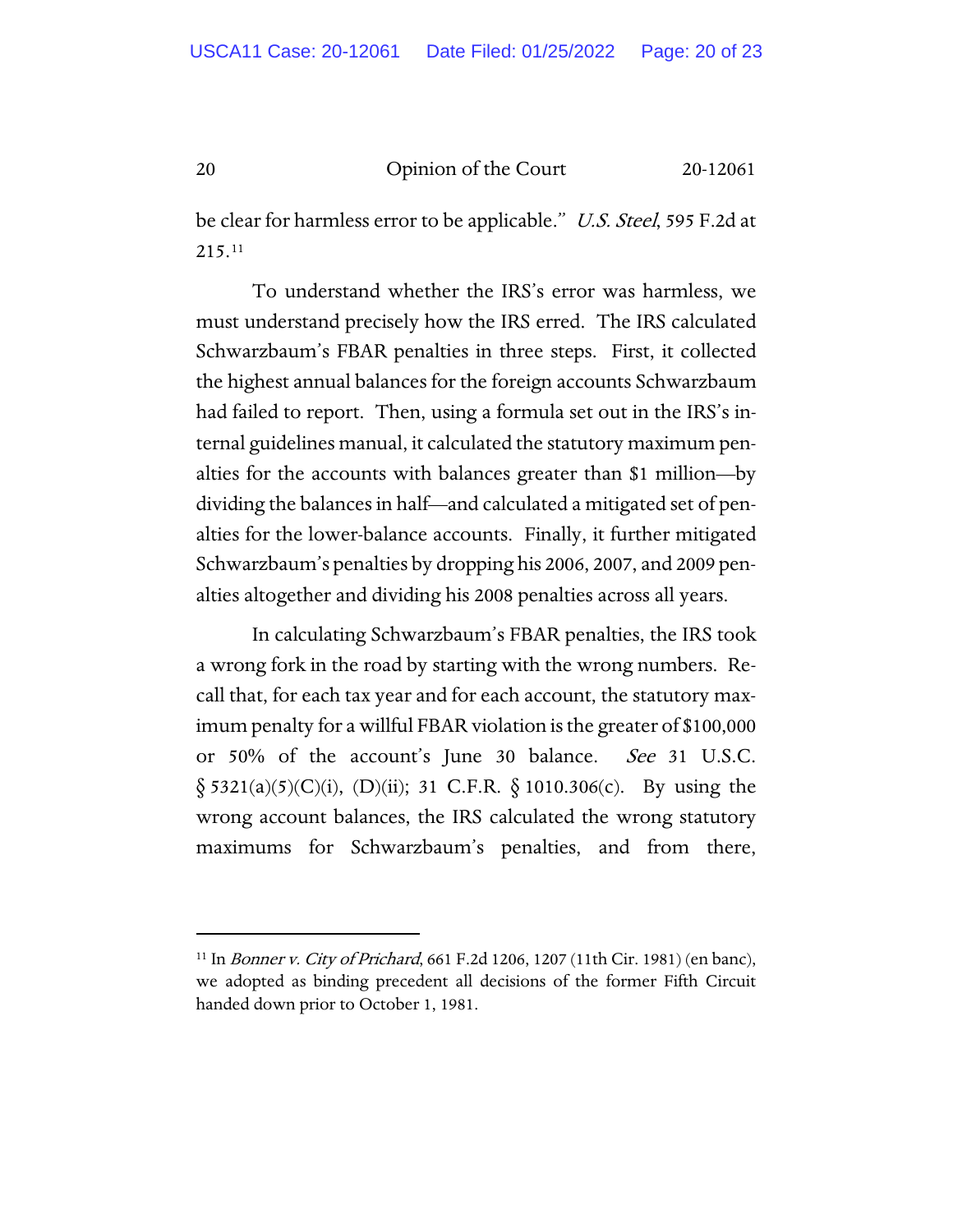be clear for harmless error to be applicable." U.S. Steel, 595 F.2d at 215.[11](#page-19-0)

To understand whether the IRS's error was harmless, we must understand precisely how the IRS erred. The IRS calculated Schwarzbaum's FBAR penalties in three steps. First, it collected the highest annual balances for the foreign accounts Schwarzbaum had failed to report. Then, using a formula set out in the IRS's internal guidelines manual, it calculated the statutory maximum penalties for the accounts with balances greater than \$1 million—by dividing the balances in half—and calculated a mitigated set of penalties for the lower-balance accounts. Finally, it further mitigated Schwarzbaum's penalties by dropping his 2006, 2007, and 2009 penalties altogether and dividing his 2008 penalties across all years.

In calculating Schwarzbaum's FBAR penalties, the IRS took a wrong fork in the road by starting with the wrong numbers. Recall that, for each tax year and for each account, the statutory maximum penalty for a willful FBAR violation is the greater of \$100,000 or 50% of the account's June 30 balance. See 31 U.S.C.  $\S$  5321(a)(5)(C)(i), (D)(ii); 31 C.F.R.  $\S$  1010.306(c). By using the wrong account balances, the IRS calculated the wrong statutory maximums for Schwarzbaum's penalties, and from there,

<span id="page-19-0"></span><sup>&</sup>lt;sup>11</sup> In Bonner v. City of Prichard, 661 F.2d 1206, 1207 (11th Cir. 1981) (en banc), we adopted as binding precedent all decisions of the former Fifth Circuit handed down prior to October 1, 1981.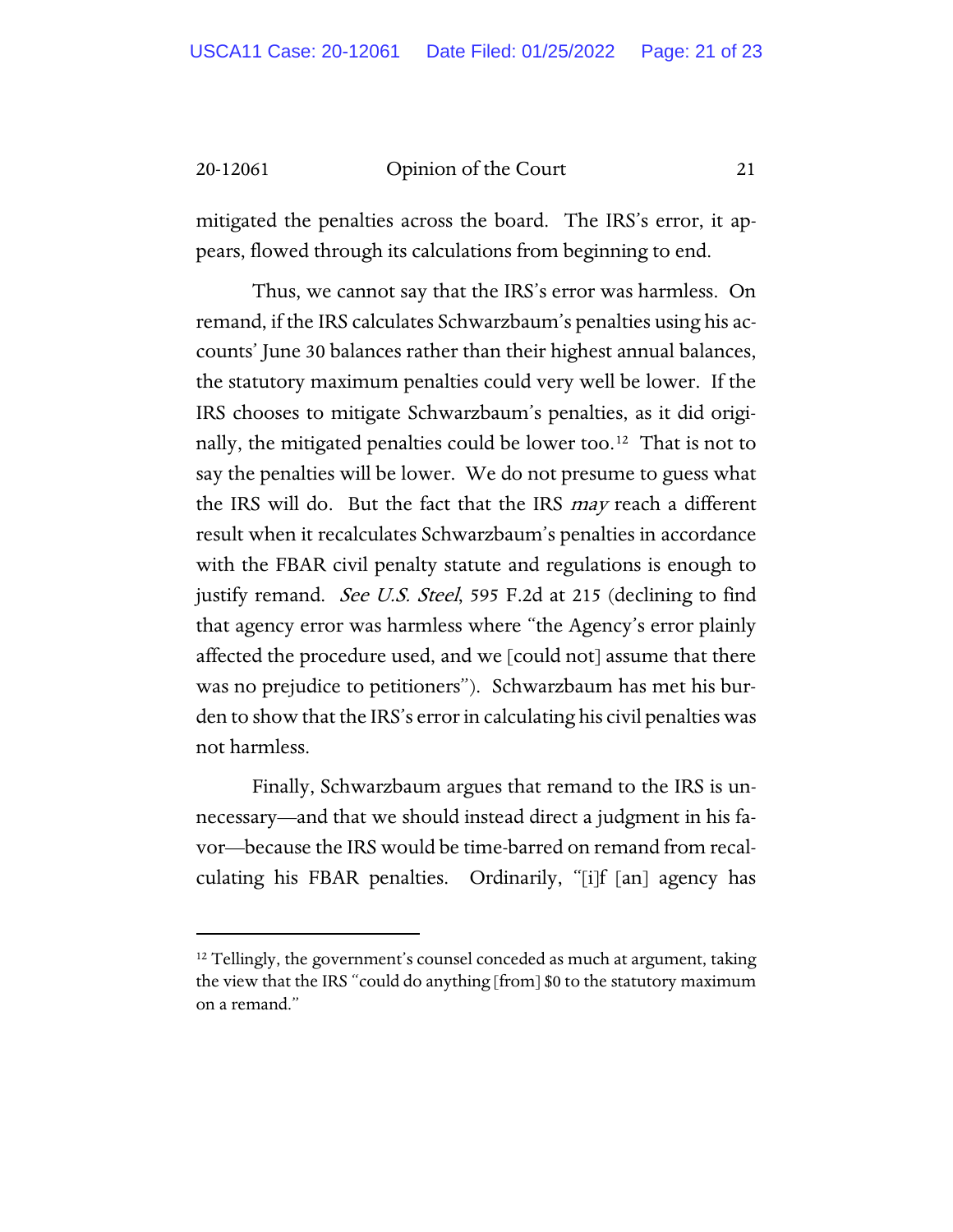mitigated the penalties across the board. The IRS's error, it appears, flowed through its calculations from beginning to end.

Thus, we cannot say that the IRS's error was harmless. On remand, if the IRS calculates Schwarzbaum's penalties using his accounts' June 30 balances rather than their highest annual balances, the statutory maximum penalties could very well be lower. If the IRS chooses to mitigate Schwarzbaum's penalties, as it did originally, the mitigated penalties could be lower too.<sup>12</sup> That is not to say the penalties will be lower. We do not presume to guess what the IRS will do. But the fact that the IRS may reach a different result when it recalculates Schwarzbaum's penalties in accordance with the FBAR civil penalty statute and regulations is enough to justify remand. *See U.S. Steel*, 595 F.2d at 215 (declining to find that agency error was harmless where "the Agency's error plainly affected the procedure used, and we [could not] assume that there was no prejudice to petitioners"). Schwarzbaum has met his burden to show that the IRS's error in calculating his civil penalties was not harmless.

Finally, Schwarzbaum argues that remand to the IRS is unnecessary—and that we should instead direct a judgment in his favor—because the IRS would be time-barred on remand from recalculating his FBAR penalties. Ordinarily, "[i]f [an] agency has

<span id="page-20-0"></span><sup>&</sup>lt;sup>12</sup> Tellingly, the government's counsel conceded as much at argument, taking the view that the IRS "could do anything [from] \$0 to the statutory maximum on a remand."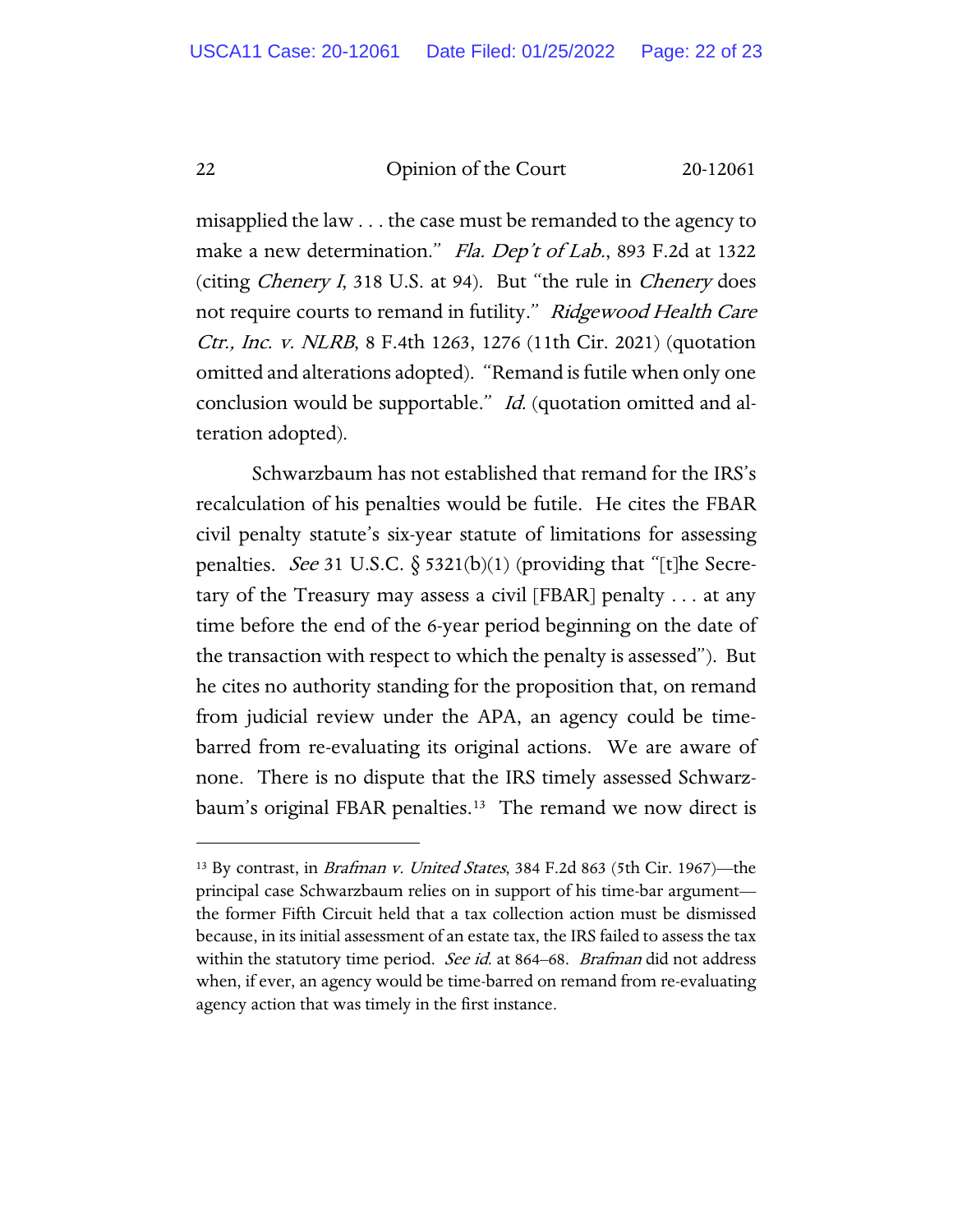misapplied the law . . . the case must be remanded to the agency to make a new determination." Fla. Dep't of Lab., 893 F.2d at 1322 (citing Chenery I, 318 U.S. at 94). But "the rule in Chenery does not require courts to remand in futility." Ridgewood Health Care Ctr., Inc. v. NLRB, 8 F.4th 1263, 1276 (11th Cir. 2021) (quotation omitted and alterations adopted). "Remand is futile when only one conclusion would be supportable." Id. (quotation omitted and alteration adopted).

Schwarzbaum has not established that remand for the IRS's recalculation of his penalties would be futile. He cites the FBAR civil penalty statute's six-year statute of limitations for assessing penalties. See 31 U.S.C.  $\S$  5321(b)(1) (providing that "[t]he Secretary of the Treasury may assess a civil [FBAR] penalty . . . at any time before the end of the 6-year period beginning on the date of the transaction with respect to which the penalty is assessed"). But he cites no authority standing for the proposition that, on remand from judicial review under the APA, an agency could be timebarred from re-evaluating its original actions. We are aware of none. There is no dispute that the IRS timely assessed Schwarz-baum's original FBAR penalties.<sup>[13](#page-21-0)</sup> The remand we now direct is

<span id="page-21-0"></span><sup>&</sup>lt;sup>13</sup> By contrast, in *Brafman v. United States*, 384 F.2d 863 (5th Cir. 1967)-the principal case Schwarzbaum relies on in support of his time-bar argument the former Fifth Circuit held that a tax collection action must be dismissed because, in its initial assessment of an estate tax, the IRS failed to assess the tax within the statutory time period. *See id.* at 864–68. *Brafman* did not address when, if ever, an agency would be time-barred on remand from re-evaluating agency action that was timely in the first instance.